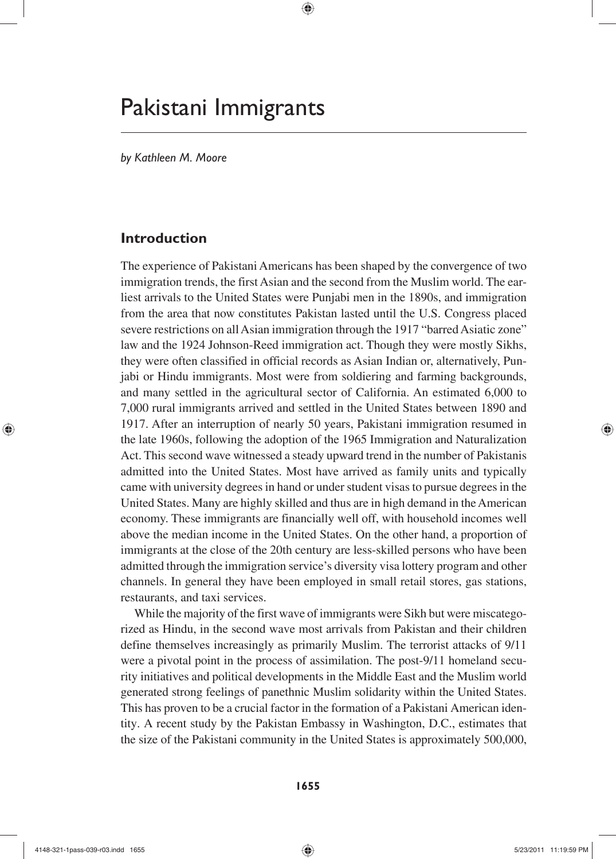*by Kathleen M. Moore* 

# **Introduction**

 The experience of Pakistani Americans has been shaped by the convergence of two immigration trends, the first Asian and the second from the Muslim world. The earliest arrivals to the United States were Punjabi men in the 1890s, and immigration from the area that now constitutes Pakistan lasted until the U.S. Congress placed severe restrictions on all Asian immigration through the 1917 "barred Asiatic zone" law and the 1924 Johnson-Reed immigration act. Though they were mostly Sikhs, they were often classified in official records as Asian Indian or, alternatively, Punjabi or Hindu immigrants. Most were from soldiering and farming backgrounds, and many settled in the agricultural sector of California. An estimated 6,000 to 7,000 rural immigrants arrived and settled in the United States between 1890 and 1917. After an interruption of nearly 50 years, Pakistani immigration resumed in the late 1960s, following the adoption of the 1965 Immigration and Naturalization Act. This second wave witnessed a steady upward trend in the number of Pakistanis admitted into the United States. Most have arrived as family units and typically came with university degrees in hand or under student visas to pursue degrees in the United States. Many are highly skilled and thus are in high demand in the American economy. These immigrants are financially well off, with household incomes well above the median income in the United States. On the other hand, a proportion of immigrants at the close of the 20th century are less-skilled persons who have been admitted through the immigration service's diversity visa lottery program and other channels. In general they have been employed in small retail stores, gas stations, restaurants, and taxi services.

⊕

 While the majority of the first wave of immigrants were Sikh but were miscategorized as Hindu, in the second wave most arrivals from Pakistan and their children define themselves increasingly as primarily Muslim. The terrorist attacks of 9/11 were a pivotal point in the process of assimilation. The post-9/11 homeland security initiatives and political developments in the Middle East and the Muslim world generated strong feelings of panethnic Muslim solidarity within the United States. This has proven to be a crucial factor in the formation of a Pakistani American identity. A recent study by the Pakistan Embassy in Washington, D.C., estimates that the size of the Pakistani community in the United States is approximately 500,000,

♠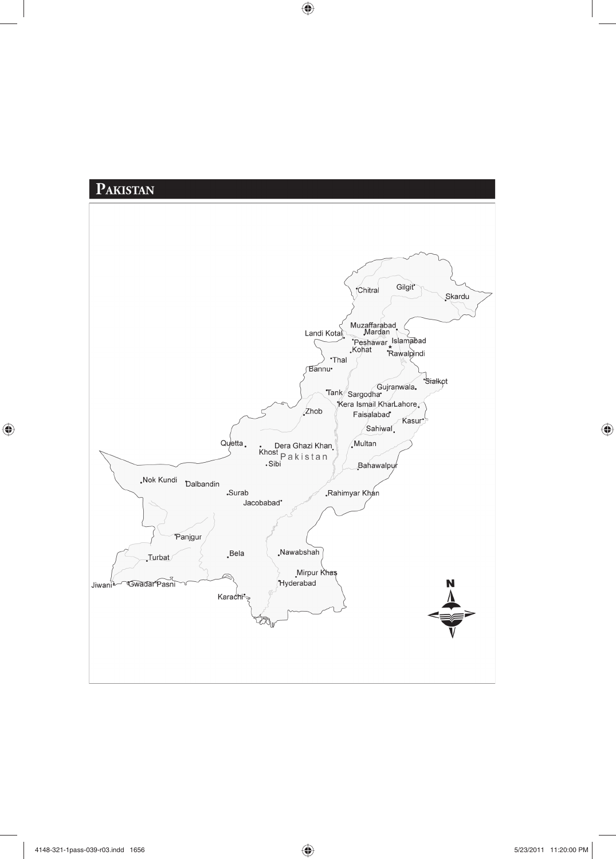

 $\bigoplus$ 

 $\bigoplus$ 

 $\bigoplus$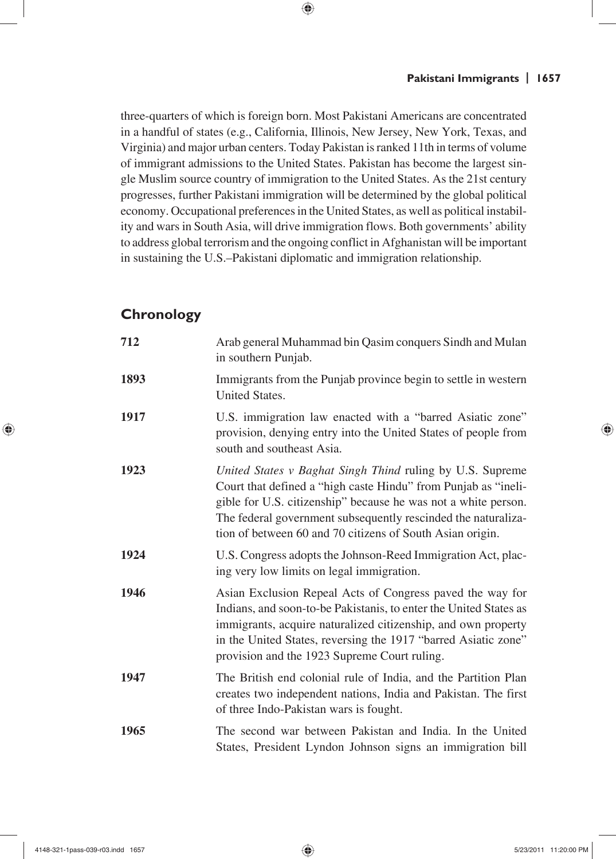three-quarters of which is foreign born. Most Pakistani Americans are concentrated in a handful of states (e.g., California, Illinois, New Jersey, New York, Texas, and Virginia) and major urban centers. Today Pakistan is ranked 11th in terms of volume of immigrant admissions to the United States. Pakistan has become the largest single Muslim source country of immigration to the United States. As the 21st century progresses, further Pakistani immigration will be determined by the global political economy. Occupational preferences in the United States, as well as political instability and wars in South Asia, will drive immigration flows. Both governments' ability to address global terrorism and the ongoing conflict in Afghanistan will be important in sustaining the U.S.–Pakistani diplomatic and immigration relationship.

 $\bigoplus$ 

# **Chronology**

| 712  | Arab general Muhammad bin Qasim conquers Sindh and Mulan<br>in southern Punjab.                                                                                                                                                                                                                                             |
|------|-----------------------------------------------------------------------------------------------------------------------------------------------------------------------------------------------------------------------------------------------------------------------------------------------------------------------------|
| 1893 | Immigrants from the Punjab province begin to settle in western<br><b>United States.</b>                                                                                                                                                                                                                                     |
| 1917 | U.S. immigration law enacted with a "barred Asiatic zone"<br>provision, denying entry into the United States of people from<br>south and southeast Asia.                                                                                                                                                                    |
| 1923 | United States v Baghat Singh Thind ruling by U.S. Supreme<br>Court that defined a "high caste Hindu" from Punjab as "ineli-<br>gible for U.S. citizenship" because he was not a white person.<br>The federal government subsequently rescinded the naturaliza-<br>tion of between 60 and 70 citizens of South Asian origin. |
| 1924 | U.S. Congress adopts the Johnson-Reed Immigration Act, plac-<br>ing very low limits on legal immigration.                                                                                                                                                                                                                   |
| 1946 | Asian Exclusion Repeal Acts of Congress paved the way for<br>Indians, and soon-to-be Pakistanis, to enter the United States as<br>immigrants, acquire naturalized citizenship, and own property<br>in the United States, reversing the 1917 "barred Asiatic zone"<br>provision and the 1923 Supreme Court ruling.           |
| 1947 | The British end colonial rule of India, and the Partition Plan<br>creates two independent nations, India and Pakistan. The first<br>of three Indo-Pakistan wars is fought.                                                                                                                                                  |
| 1965 | The second war between Pakistan and India. In the United<br>States, President Lyndon Johnson signs an immigration bill                                                                                                                                                                                                      |

⊕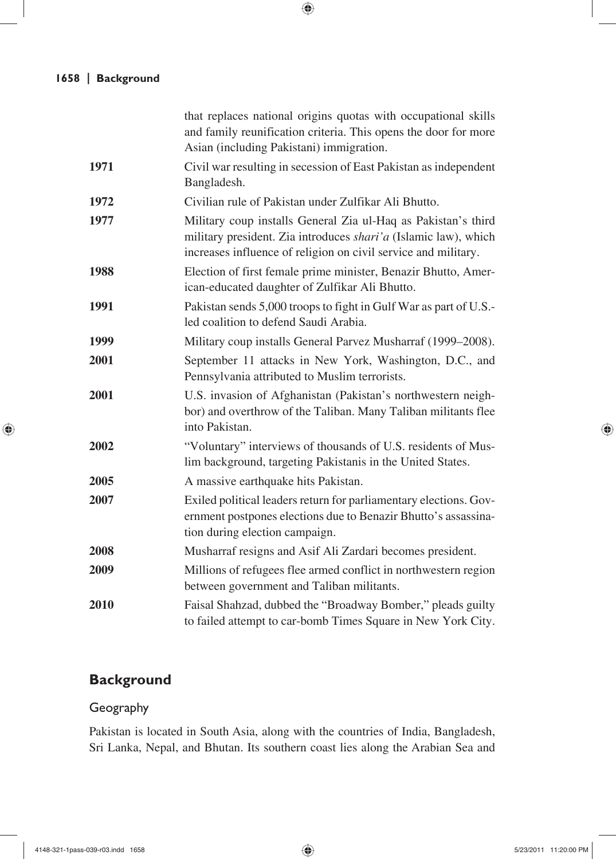# **1658 | Background**

|      | that replaces national origins quotas with occupational skills<br>and family reunification criteria. This opens the door for more<br>Asian (including Pakistani) immigration.                      |
|------|----------------------------------------------------------------------------------------------------------------------------------------------------------------------------------------------------|
| 1971 | Civil war resulting in secession of East Pakistan as independent<br>Bangladesh.                                                                                                                    |
| 1972 | Civilian rule of Pakistan under Zulfikar Ali Bhutto.                                                                                                                                               |
| 1977 | Military coup installs General Zia ul-Haq as Pakistan's third<br>military president. Zia introduces shari'a (Islamic law), which<br>increases influence of religion on civil service and military. |
| 1988 | Election of first female prime minister, Benazir Bhutto, Amer-<br>ican-educated daughter of Zulfikar Ali Bhutto.                                                                                   |
| 1991 | Pakistan sends 5,000 troops to fight in Gulf War as part of U.S.-<br>led coalition to defend Saudi Arabia.                                                                                         |
| 1999 | Military coup installs General Parvez Musharraf (1999-2008).                                                                                                                                       |
| 2001 | September 11 attacks in New York, Washington, D.C., and<br>Pennsylvania attributed to Muslim terrorists.                                                                                           |
| 2001 | U.S. invasion of Afghanistan (Pakistan's northwestern neigh-<br>bor) and overthrow of the Taliban. Many Taliban militants flee<br>into Pakistan.                                                   |
| 2002 | "Voluntary" interviews of thousands of U.S. residents of Mus-<br>lim background, targeting Pakistanis in the United States.                                                                        |
| 2005 | A massive earthquake hits Pakistan.                                                                                                                                                                |
| 2007 | Exiled political leaders return for parliamentary elections. Gov-<br>ernment postpones elections due to Benazir Bhutto's assassina-<br>tion during election campaign.                              |
| 2008 | Musharraf resigns and Asif Ali Zardari becomes president.                                                                                                                                          |
| 2009 | Millions of refugees flee armed conflict in northwestern region<br>between government and Taliban militants.                                                                                       |
| 2010 | Faisal Shahzad, dubbed the "Broadway Bomber," pleads guilty<br>to failed attempt to car-bomb Times Square in New York City.                                                                        |

 $\bigoplus$ 

# **Background**

# Geography

 Pakistan is located in South Asia, along with the countries of India, Bangladesh, Sri Lanka, Nepal, and Bhutan. Its southern coast lies along the Arabian Sea and  $\bigoplus$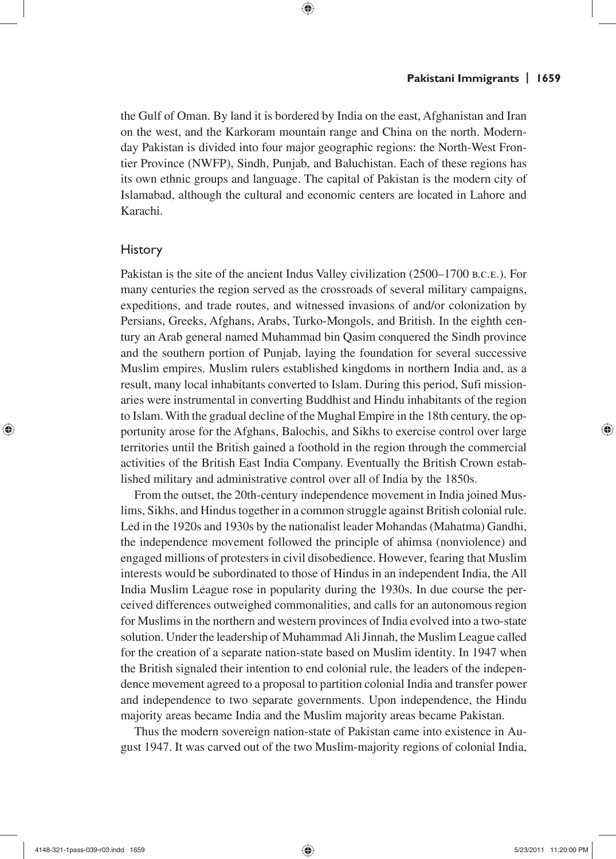the Gulf of Oman. By land it is bordered by India on the east, Afghanistan and Iran on the west, and the Karkoram mountain range and China on the north. Modernday Pakistan is divided into four major geographic regions: the North-West Frontier Province (NWFP), Sindh, Punjab, and Baluchistan. Each of these regions has its own ethnic groups and language. The capital of Pakistan is the modern city of Islamabad, although the cultural and economic centers are located in Lahore and Karachi.

⊕

#### History

Pakistan is the site of the ancient Indus Valley civilization (2500–1700 b.c.e.). For many centuries the region served as the crossroads of several military campaigns, expeditions, and trade routes, and witnessed invasions of and/or colonization by Persians, Greeks, Afghans, Arabs, Turko-Mongols, and British. In the eighth century an Arab general named Muhammad bin Qasim conquered the Sindh province and the southern portion of Punjab, laying the foundation for several successive Muslim empires. Muslim rulers established kingdoms in northern India and, as a result, many local inhabitants converted to Islam. During this period, Sufi missionaries were instrumental in converting Buddhist and Hindu inhabitants of the region to Islam. With the gradual decline of the Mughal Empire in the 18th century, the opportunity arose for the Afghans, Balochis, and Sikhs to exercise control over large territories until the British gained a foothold in the region through the commercial activities of the British East India Company. Eventually the British Crown established military and administrative control over all of India by the 1850s.

 From the outset, the 20th-century independence movement in India joined Muslims, Sikhs, and Hindus together in a common struggle against British colonial rule. Led in the 1920s and 1930s by the nationalist leader Mohandas (Mahatma) Gandhi, the independence movement followed the principle of ahimsa (nonviolence) and engaged millions of protesters in civil disobedience. However, fearing that Muslim interests would be subordinated to those of Hindus in an independent India, the All India Muslim League rose in popularity during the 1930s. In due course the perceived differences outweighed commonalities, and calls for an autonomous region for Muslims in the northern and western provinces of India evolved into a two-state solution. Under the leadership of Muhammad Ali Jinnah, the Muslim League called for the creation of a separate nation-state based on Muslim identity. In 1947 when the British signaled their intention to end colonial rule, the leaders of the independence movement agreed to a proposal to partition colonial India and transfer power and independence to two separate governments. Upon independence, the Hindu majority areas became India and the Muslim majority areas became Pakistan.

 Thus the modern sovereign nation-state of Pakistan came into existence in August 1947. It was carved out of the two Muslim-majority regions of colonial India,

♠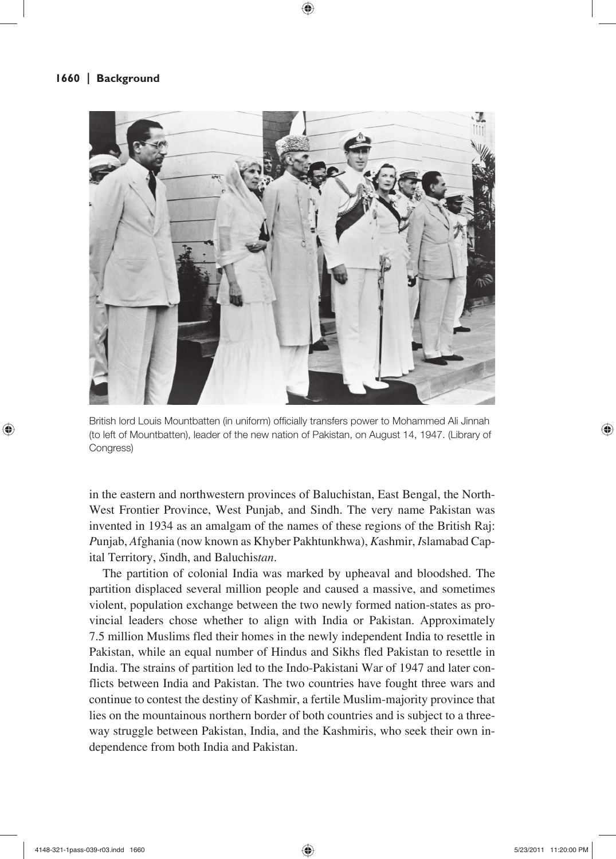

⊕

British lord Louis Mountbatten (in uniform) officially transfers power to Mohammed Ali Jinnah (to left of Mountbatten), leader of the new nation of Pakistan, on August 14, 1947. (Library of Congress)

in the eastern and northwestern provinces of Baluchistan, East Bengal, the North-West Frontier Province, West Punjab, and Sindh. The very name Pakistan was invented in 1934 as an amalgam of the names of these regions of the British Raj: *P* unjab, *A* fghania (now known as Khyber Pakhtunkhwa), *K* ashmir, *I* slamabad Capital Territory, Sindh, and Baluchistan.

 The partition of colonial India was marked by upheaval and bloodshed. The partition displaced several million people and caused a massive, and sometimes violent, population exchange between the two newly formed nation-states as provincial leaders chose whether to align with India or Pakistan. Approximately 7.5 million Muslims fled their homes in the newly independent India to resettle in Pakistan, while an equal number of Hindus and Sikhs fled Pakistan to resettle in India. The strains of partition led to the Indo-Pakistani War of 1947 and later conflicts between India and Pakistan. The two countries have fought three wars and continue to contest the destiny of Kashmir, a fertile Muslim-majority province that lies on the mountainous northern border of both countries and is subject to a threeway struggle between Pakistan, India, and the Kashmiris, who seek their own independence from both India and Pakistan.

⊕

⊕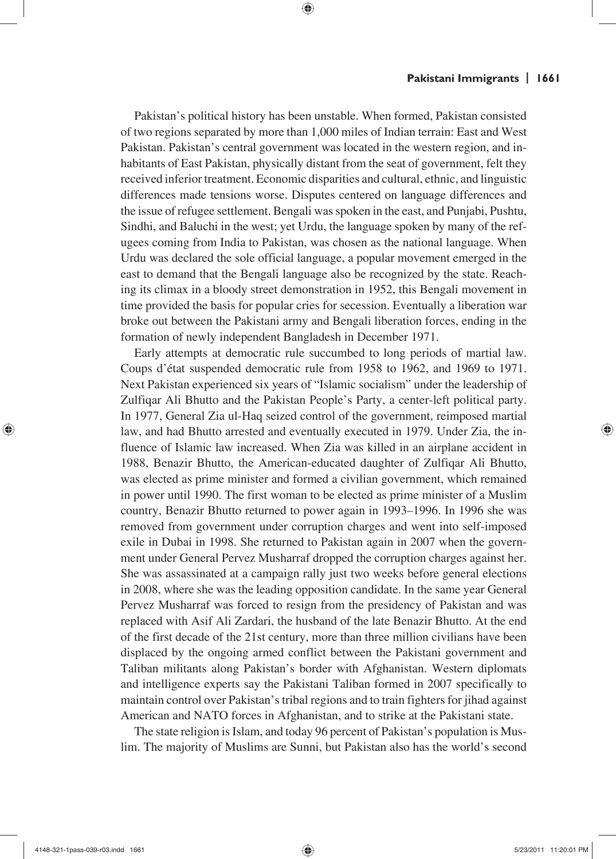Pakistan's political history has been unstable. When formed, Pakistan consisted of two regions separated by more than 1,000 miles of Indian terrain: East and West Pakistan. Pakistan's central government was located in the western region, and inhabitants of East Pakistan, physically distant from the seat of government, felt they received inferior treatment. Economic disparities and cultural, ethnic, and linguistic differences made tensions worse. Disputes centered on language differences and the issue of refugee settlement. Bengali was spoken in the east, and Punjabi, Pushtu, Sindhi, and Baluchi in the west; yet Urdu, the language spoken by many of the refugees coming from India to Pakistan, was chosen as the national language. When Urdu was declared the sole official language, a popular movement emerged in the east to demand that the Bengali language also be recognized by the state. Reaching its climax in a bloody street demonstration in 1952, this Bengali movement in time provided the basis for popular cries for secession. Eventually a liberation war broke out between the Pakistani army and Bengali liberation forces, ending in the formation of newly independent Bangladesh in December 1971.

 $\bigcirc \hspace{-1.4mm}$ 

 Early attempts at democratic rule succumbed to long periods of martial law. Coups d'état suspended democratic rule from 1958 to 1962, and 1969 to 1971. Next Pakistan experienced six years of "Islamic socialism" under the leadership of Zulfiqar Ali Bhutto and the Pakistan People's Party, a center-left political party. In 1977, General Zia ul-Haq seized control of the government, reimposed martial law, and had Bhutto arrested and eventually executed in 1979. Under Zia, the influence of Islamic law increased. When Zia was killed in an airplane accident in 1988, Benazir Bhutto, the American-educated daughter of Zulfiqar Ali Bhutto, was elected as prime minister and formed a civilian government, which remained in power until 1990. The first woman to be elected as prime minister of a Muslim country, Benazir Bhutto returned to power again in 1993–1996. In 1996 she was removed from government under corruption charges and went into self-imposed exile in Dubai in 1998. She returned to Pakistan again in 2007 when the government under General Pervez Musharraf dropped the corruption charges against her. She was assassinated at a campaign rally just two weeks before general elections in 2008, where she was the leading opposition candidate. In the same year General Pervez Musharraf was forced to resign from the presidency of Pakistan and was replaced with Asif Ali Zardari, the husband of the late Benazir Bhutto. At the end of the first decade of the 21st century, more than three million civilians have been displaced by the ongoing armed conflict between the Pakistani government and Taliban militants along Pakistan's border with Afghanistan. Western diplomats and intelligence experts say the Pakistani Taliban formed in 2007 specifically to maintain control over Pakistan's tribal regions and to train fighters for jihad against American and NATO forces in Afghanistan, and to strike at the Pakistani state.

The state religion is Islam, and today 96 percent of Pakistan's population is Muslim. The majority of Muslims are Sunni, but Pakistan also has the world's second

♠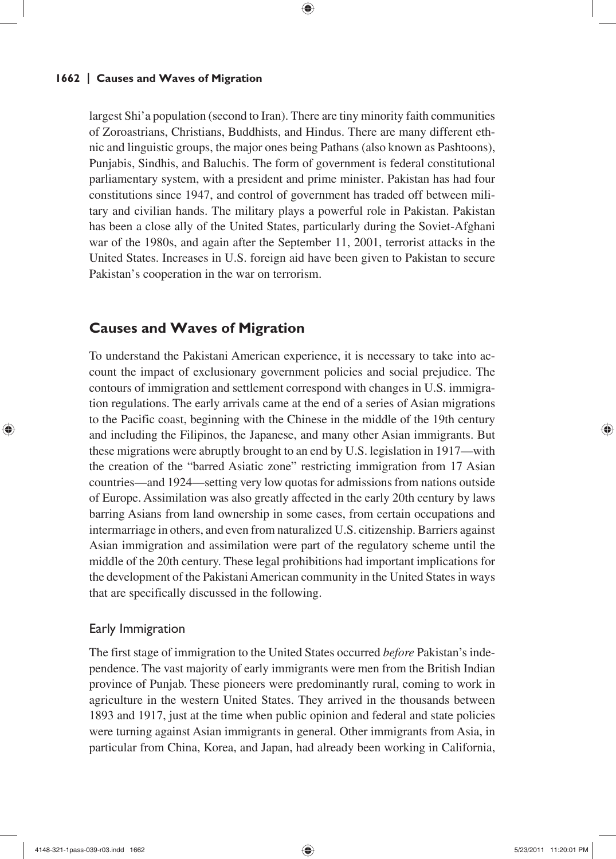#### **1662 | Causes and Waves of Migration**

largest Shi'a population (second to Iran). There are tiny minority faith communities of Zoroastrians, Christians, Buddhists, and Hindus. There are many different ethnic and linguistic groups, the major ones being Pathans (also known as Pashtoons), Punjabis, Sindhis, and Baluchis. The form of government is federal constitutional parliamentary system, with a president and prime minister. Pakistan has had four constitutions since 1947, and control of government has traded off between military and civilian hands. The military plays a powerful role in Pakistan. Pakistan has been a close ally of the United States, particularly during the Soviet-Afghani war of the 1980s, and again after the September 11, 2001, terrorist attacks in the United States. Increases in U.S. foreign aid have been given to Pakistan to secure Pakistan's cooperation in the war on terrorism.

⊕

# **Causes and Waves of Migration**

 To understand the Pakistani American experience, it is necessary to take into account the impact of exclusionary government policies and social prejudice. The contours of immigration and settlement correspond with changes in U.S. immigration regulations. The early arrivals came at the end of a series of Asian migrations to the Pacific coast, beginning with the Chinese in the middle of the 19th century and including the Filipinos, the Japanese, and many other Asian immigrants. But these migrations were abruptly brought to an end by U.S. legislation in 1917—with the creation of the "barred Asiatic zone" restricting immigration from 17 Asian countries—and 1924—setting very low quotas for admissions from nations outside of Europe. Assimilation was also greatly affected in the early 20th century by laws barring Asians from land ownership in some cases, from certain occupations and intermarriage in others, and even from naturalized U.S. citizenship. Barriers against Asian immigration and assimilation were part of the regulatory scheme until the middle of the 20th century. These legal prohibitions had important implications for the development of the Pakistani American community in the United States in ways that are specifically discussed in the following.

### Early Immigration

The first stage of immigration to the United States occurred *before* Pakistan's independence. The vast majority of early immigrants were men from the British Indian province of Punjab. These pioneers were predominantly rural, coming to work in agriculture in the western United States. They arrived in the thousands between 1893 and 1917, just at the time when public opinion and federal and state policies were turning against Asian immigrants in general. Other immigrants from Asia, in particular from China, Korea, and Japan, had already been working in California,

♠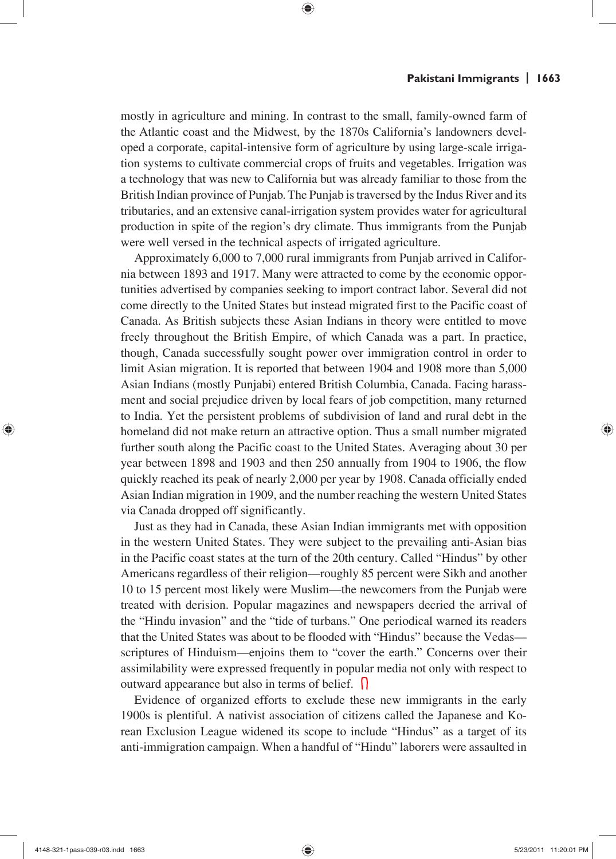mostly in agriculture and mining. In contrast to the small, family-owned farm of the Atlantic coast and the Midwest, by the 1870s California's landowners developed a corporate, capital-intensive form of agriculture by using large-scale irrigation systems to cultivate commercial crops of fruits and vegetables. Irrigation was a technology that was new to California but was already familiar to those from the British Indian province of Punjab. The Punjab is traversed by the Indus River and its tributaries, and an extensive canal-irrigation system provides water for agricultural production in spite of the region's dry climate. Thus immigrants from the Punjab were well versed in the technical aspects of irrigated agriculture.

⊕

 Approximately 6,000 to 7,000 rural immigrants from Punjab arrived in California between 1893 and 1917. Many were attracted to come by the economic opportunities advertised by companies seeking to import contract labor. Several did not come directly to the United States but instead migrated first to the Pacific coast of Canada. As British subjects these Asian Indians in theory were entitled to move freely throughout the British Empire, of which Canada was a part. In practice, though, Canada successfully sought power over immigration control in order to limit Asian migration. It is reported that between 1904 and 1908 more than 5,000 Asian Indians (mostly Punjabi) entered British Columbia, Canada. Facing harassment and social prejudice driven by local fears of job competition, many returned to India. Yet the persistent problems of subdivision of land and rural debt in the homeland did not make return an attractive option. Thus a small number migrated further south along the Pacific coast to the United States. Averaging about 30 per year between 1898 and 1903 and then 250 annually from 1904 to 1906, the flow quickly reached its peak of nearly 2,000 per year by 1908. Canada officially ended Asian Indian migration in 1909, and the number reaching the western United States via Canada dropped off significantly.

 Just as they had in Canada, these Asian Indian immigrants met with opposition in the western United States. They were subject to the prevailing anti-Asian bias in the Pacific coast states at the turn of the 20th century. Called "Hindus" by other Americans regardless of their religion—roughly 85 percent were Sikh and another 10 to 15 percent most likely were Muslim—the newcomers from the Punjab were treated with derision. Popular magazines and newspapers decried the arrival of the "Hindu invasion" and the "tide of turbans." One periodical warned its readers that the United States was about to be flooded with "Hindus" because the Vedasscriptures of Hinduism—enjoins them to "cover the earth." Concerns over their assimilability were expressed frequently in popular media not only with respect to outward appearance but also in terms of belief.  $\bigcap$ 

 Evidence of organized efforts to exclude these new immigrants in the early 1900s is plentiful. A nativist association of citizens called the Japanese and Korean Exclusion League widened its scope to include "Hindus" as a target of its anti-immigration campaign. When a handful of "Hindu" laborers were assaulted in

♠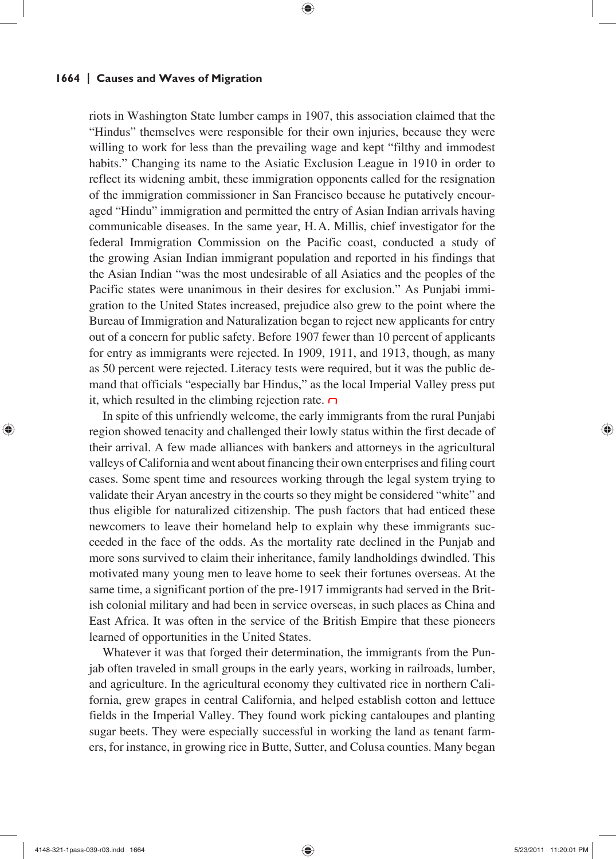#### **1664 | Causes and Waves of Migration**

riots in Washington State lumber camps in 1907, this association claimed that the "Hindus" themselves were responsible for their own injuries, because they were willing to work for less than the prevailing wage and kept "filthy and immodest" habits." Changing its name to the Asiatic Exclusion League in 1910 in order to reflect its widening ambit, these immigration opponents called for the resignation of the immigration commissioner in San Francisco because he putatively encouraged "Hindu" immigration and permitted the entry of Asian Indian arrivals having communicable diseases. In the same year, H. A. Millis, chief investigator for the federal Immigration Commission on the Pacific coast, conducted a study of the growing Asian Indian immigrant population and reported in his findings that the Asian Indian "was the most undesirable of all Asiatics and the peoples of the Pacific states were unanimous in their desires for exclusion." As Punjabi immigration to the United States increased, prejudice also grew to the point where the Bureau of Immigration and Naturalization began to reject new applicants for entry out of a concern for public safety. Before 1907 fewer than 10 percent of applicants for entry as immigrants were rejected. In 1909, 1911, and 1913, though, as many as 50 percent were rejected. Literacy tests were required, but it was the public demand that officials "especially bar Hindus," as the local Imperial Valley press put it, which resulted in the climbing rejection rate.  $\Box$ 

⊕

 In spite of this unfriendly welcome, the early immigrants from the rural Punjabi region showed tenacity and challenged their lowly status within the first decade of their arrival. A few made alliances with bankers and attorneys in the agricultural valleys of California and went about financing their own enterprises and filing court cases. Some spent time and resources working through the legal system trying to validate their Aryan ancestry in the courts so they might be considered "white" and thus eligible for naturalized citizenship. The push factors that had enticed these newcomers to leave their homeland help to explain why these immigrants succeeded in the face of the odds. As the mortality rate declined in the Punjab and more sons survived to claim their inheritance, family landholdings dwindled. This motivated many young men to leave home to seek their fortunes overseas. At the same time, a significant portion of the pre-1917 immigrants had served in the British colonial military and had been in service overseas, in such places as China and East Africa. It was often in the service of the British Empire that these pioneers learned of opportunities in the United States.

 Whatever it was that forged their determination, the immigrants from the Punjab often traveled in small groups in the early years, working in railroads, lumber, and agriculture. In the agricultural economy they cultivated rice in northern California, grew grapes in central California, and helped establish cotton and lettuce fields in the Imperial Valley. They found work picking cantaloupes and planting sugar beets. They were especially successful in working the land as tenant farmers, for instance, in growing rice in Butte, Sutter, and Colusa counties. Many began

♠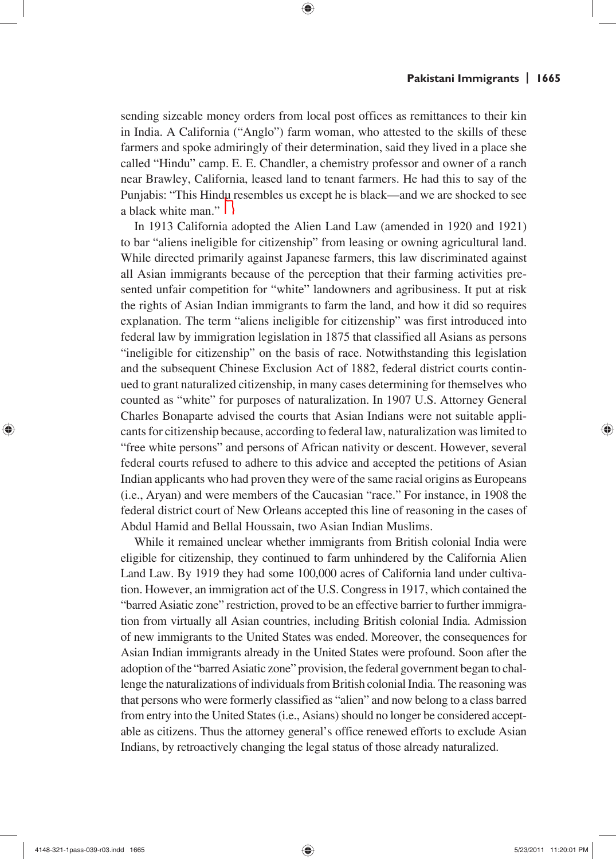sending sizeable money orders from local post offices as remittances to their kin in India. A California ("Anglo") farm woman, who attested to the skills of these farmers and spoke admiringly of their determination, said they lived in a place she called "Hindu" camp. E. E. Chandler, a chemistry professor and owner of a ranch near Brawley, California, leased land to tenant farmers. He had this to say of the Punjabis: "This Hindu resembles us except he is black—and we are shocked to see a black white man."  $\vert \cdot \vert$ 

⊕

 In 1913 California adopted the Alien Land Law (amended in 1920 and 1921) to bar "aliens ineligible for citizenship" from leasing or owning agricultural land. While directed primarily against Japanese farmers, this law discriminated against all Asian immigrants because of the perception that their farming activities presented unfair competition for "white" landowners and agribusiness. It put at risk the rights of Asian Indian immigrants to farm the land, and how it did so requires explanation. The term "aliens ineligible for citizenship" was first introduced into federal law by immigration legislation in 1875 that classified all Asians as persons "ineligible for citizenship" on the basis of race. Notwithstanding this legislation and the subsequent Chinese Exclusion Act of 1882, federal district courts continued to grant naturalized citizenship, in many cases determining for themselves who counted as "white" for purposes of naturalization. In 1907 U.S. Attorney General Charles Bonaparte advised the courts that Asian Indians were not suitable applicants for citizenship because, according to federal law, naturalization was limited to "free white persons" and persons of African nativity or descent. However, several federal courts refused to adhere to this advice and accepted the petitions of Asian Indian applicants who had proven they were of the same racial origins as Europeans (i.e., Aryan) and were members of the Caucasian "race.‰ For instance, in 1908 the federal district court of New Orleans accepted this line of reasoning in the cases of Abdul Hamid and Bellal Houssain, two Asian Indian Muslims.

 While it remained unclear whether immigrants from British colonial India were eligible for citizenship, they continued to farm unhindered by the California Alien Land Law. By 1919 they had some 100,000 acres of California land under cultivation. However, an immigration act of the U.S. Congress in 1917, which contained the "barred Asiatic zone" restriction, proved to be an effective barrier to further immigration from virtually all Asian countries, including British colonial India. Admission of new immigrants to the United States was ended. Moreover, the consequences for Asian Indian immigrants already in the United States were profound. Soon after the adoption of the "barred Asiatic zone" provision, the federal government began to challenge the naturalizations of individuals from British colonial India. The reasoning was that persons who were formerly classified as "alien" and now belong to a class barred from entry into the United States (i.e., Asians) should no longer be considered acceptable as citizens. Thus the attorney general's office renewed efforts to exclude Asian Indians, by retroactively changing the legal status of those already naturalized.

♠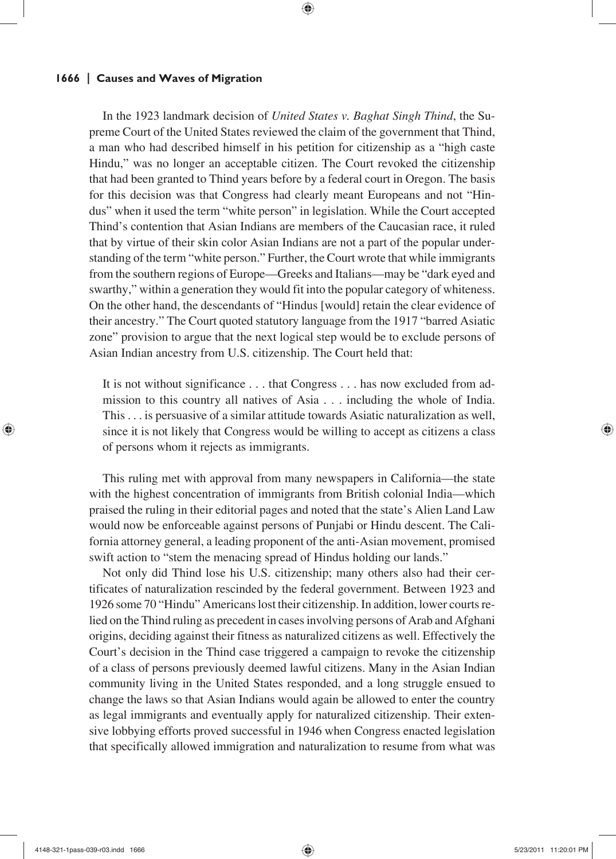#### **1666 | Causes and Waves of Migration**

 In the 1923 landmark decision of *United States v. Baghat Singh Thind* , the Supreme Court of the United States reviewed the claim of the government that Thind, a man who had described himself in his petition for citizenship as a "high caste Hindu," was no longer an acceptable citizen. The Court revoked the citizenship that had been granted to Thind years before by a federal court in Oregon. The basis for this decision was that Congress had clearly meant Europeans and not "Hindus" when it used the term "white person" in legislation. While the Court accepted Thind's contention that Asian Indians are members of the Caucasian race, it ruled that by virtue of their skin color Asian Indians are not a part of the popular understanding of the term "white person." Further, the Court wrote that while immigrants from the southern regions of Europe—Greeks and Italians—may be "dark eyed and swarthy," within a generation they would fit into the popular category of whiteness. On the other hand, the descendants of "Hindus [would] retain the clear evidence of their ancestry.‰ The Court quoted statutory language from the 1917 "barred Asiatic zone" provision to argue that the next logical step would be to exclude persons of Asian Indian ancestry from U.S. citizenship. The Court held that:

⊕

 It is not without significance . . . that Congress . . . has now excluded from admission to this country all natives of Asia . . . including the whole of India. This . . . is persuasive of a similar attitude towards Asiatic naturalization as well, since it is not likely that Congress would be willing to accept as citizens a class of persons whom it rejects as immigrants.

This ruling met with approval from many newspapers in California—the state with the highest concentration of immigrants from British colonial India—which praised the ruling in their editorial pages and noted that the state's Alien Land Law would now be enforceable against persons of Punjabi or Hindu descent. The California attorney general, a leading proponent of the anti-Asian movement, promised swift action to "stem the menacing spread of Hindus holding our lands."

 Not only did Thind lose his U.S. citizenship; many others also had their certificates of naturalization rescinded by the federal government. Between 1923 and 1926 some 70 "Hindu" Americans lost their citizenship. In addition, lower courts relied on the Thind ruling as precedent in cases involving persons of Arab and Afghani origins, deciding against their fitness as naturalized citizens as well. Effectively the Court's decision in the Thind case triggered a campaign to revoke the citizenship of a class of persons previously deemed lawful citizens. Many in the Asian Indian community living in the United States responded, and a long struggle ensued to change the laws so that Asian Indians would again be allowed to enter the country as legal immigrants and eventually apply for naturalized citizenship. Their extensive lobbying efforts proved successful in 1946 when Congress enacted legislation that specifically allowed immigration and naturalization to resume from what was

♠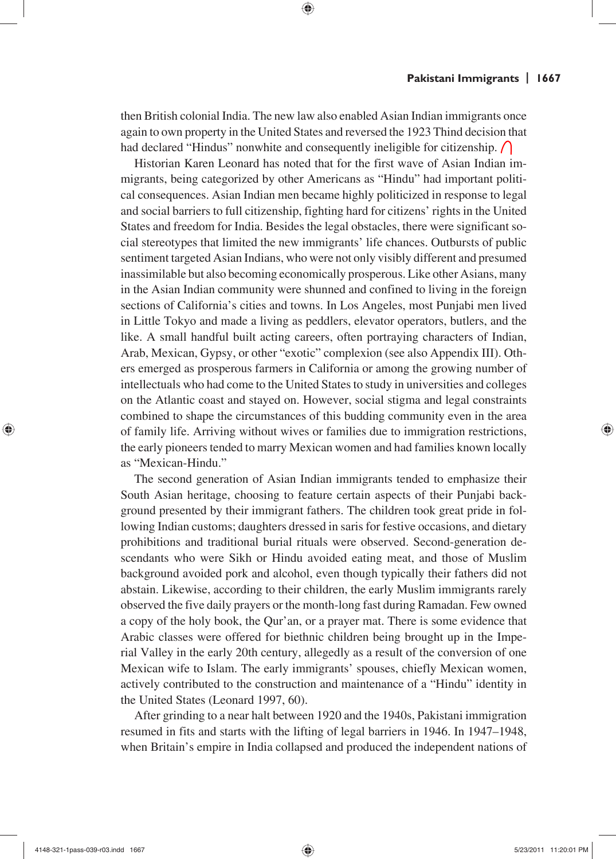then British colonial India. The new law also enabled Asian Indian immigrants once again to own property in the United States and reversed the 1923 Thind decision that had declared "Hindus" nonwhite and consequently ineligible for citizenship.  $\bigcap$ 

⊕

 Historian Karen Leonard has noted that for the first wave of Asian Indian immigrants, being categorized by other Americans as "Hindu" had important political consequences. Asian Indian men became highly politicized in response to legal and social barriers to full citizenship, fighting hard for citizens' rights in the United States and freedom for India. Besides the legal obstacles, there were significant social stereotypes that limited the new immigrants' life chances. Outbursts of public sentiment targeted Asian Indians, who were not only visibly different and presumed inassimilable but also becoming economically prosperous. Like other Asians, many in the Asian Indian community were shunned and confined to living in the foreign sections of California's cities and towns. In Los Angeles, most Punjabi men lived in Little Tokyo and made a living as peddlers, elevator operators, butlers, and the like. A small handful built acting careers, often portraying characters of Indian, Arab, Mexican, Gypsy, or other "exotic" complexion (see also Appendix III). Others emerged as prosperous farmers in California or among the growing number of intellectuals who had come to the United States to study in universities and colleges on the Atlantic coast and stayed on. However, social stigma and legal constraints combined to shape the circumstances of this budding community even in the area of family life. Arriving without wives or families due to immigration restrictions, the early pioneers tended to marry Mexican women and had families known locally as "Mexican-Hindu."

 The second generation of Asian Indian immigrants tended to emphasize their South Asian heritage, choosing to feature certain aspects of their Punjabi background presented by their immigrant fathers. The children took great pride in following Indian customs; daughters dressed in saris for festive occasions, and dietary prohibitions and traditional burial rituals were observed. Second-generation descendants who were Sikh or Hindu avoided eating meat, and those of Muslim background avoided pork and alcohol, even though typically their fathers did not abstain. Likewise, according to their children, the early Muslim immigrants rarely observed the five daily prayers or the month-long fast during Ramadan. Few owned a copy of the holy book, the Qur'an, or a prayer mat. There is some evidence that Arabic classes were offered for biethnic children being brought up in the Imperial Valley in the early 20th century, allegedly as a result of the conversion of one Mexican wife to Islam. The early immigrants' spouses, chiefly Mexican women, actively contributed to the construction and maintenance of a "Hindu" identity in the United States (Leonard 1997, 60).

 After grinding to a near halt between 1920 and the 1940s, Pakistani immigration resumed in fits and starts with the lifting of legal barriers in 1946. In 1947–1948, when Britain's empire in India collapsed and produced the independent nations of

♠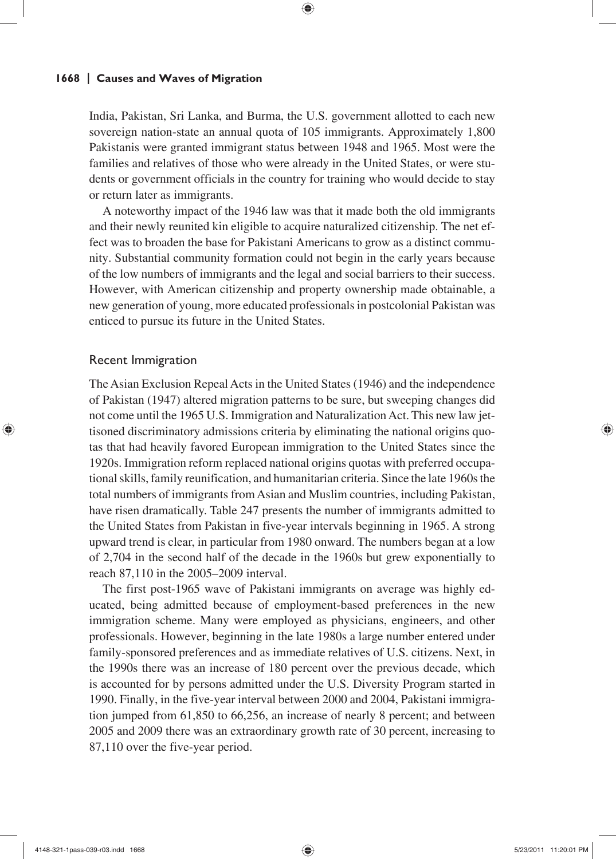#### **1668 | Causes and Waves of Migration**

India, Pakistan, Sri Lanka, and Burma, the U.S. government allotted to each new sovereign nation-state an annual quota of 105 immigrants. Approximately 1,800 Pakistanis were granted immigrant status between 1948 and 1965. Most were the families and relatives of those who were already in the United States, or were students or government officials in the country for training who would decide to stay or return later as immigrants.

⊕

 A noteworthy impact of the 1946 law was that it made both the old immigrants and their newly reunited kin eligible to acquire naturalized citizenship. The net effect was to broaden the base for Pakistani Americans to grow as a distinct community. Substantial community formation could not begin in the early years because of the low numbers of immigrants and the legal and social barriers to their success. However, with American citizenship and property ownership made obtainable, a new generation of young, more educated professionals in postcolonial Pakistan was enticed to pursue its future in the United States.

#### Recent Immigration

♠

 The Asian Exclusion Repeal Acts in the United States (1946) and the independence of Pakistan (1947) altered migration patterns to be sure, but sweeping changes did not come until the 1965 U.S. Immigration and Naturalization Act. This new law jettisoned discriminatory admissions criteria by eliminating the national origins quotas that had heavily favored European immigration to the United States since the 1920s. Immigration reform replaced national origins quotas with preferred occupational skills, family reunification, and humanitarian criteria. Since the late 1960s the total numbers of immigrants from Asian and Muslim countries, including Pakistan, have risen dramatically. Table 247 presents the number of immigrants admitted to the United States from Pakistan in five-year intervals beginning in 1965. A strong upward trend is clear, in particular from 1980 onward. The numbers began at a low of 2,704 in the second half of the decade in the 1960s but grew exponentially to reach 87,110 in the 2005–2009 interval.

 The first post-1965 wave of Pakistani immigrants on average was highly educated, being admitted because of employment-based preferences in the new immigration scheme. Many were employed as physicians, engineers, and other professionals. However, beginning in the late 1980s a large number entered under family-sponsored preferences and as immediate relatives of U.S. citizens. Next, in the 1990s there was an increase of 180 percent over the previous decade, which is accounted for by persons admitted under the U.S. Diversity Program started in 1990. Finally, in the five-year interval between 2000 and 2004, Pakistani immigration jumped from 61,850 to 66,256, an increase of nearly 8 percent; and between 2005 and 2009 there was an extraordinary growth rate of 30 percent, increasing to 87,110 over the five-year period.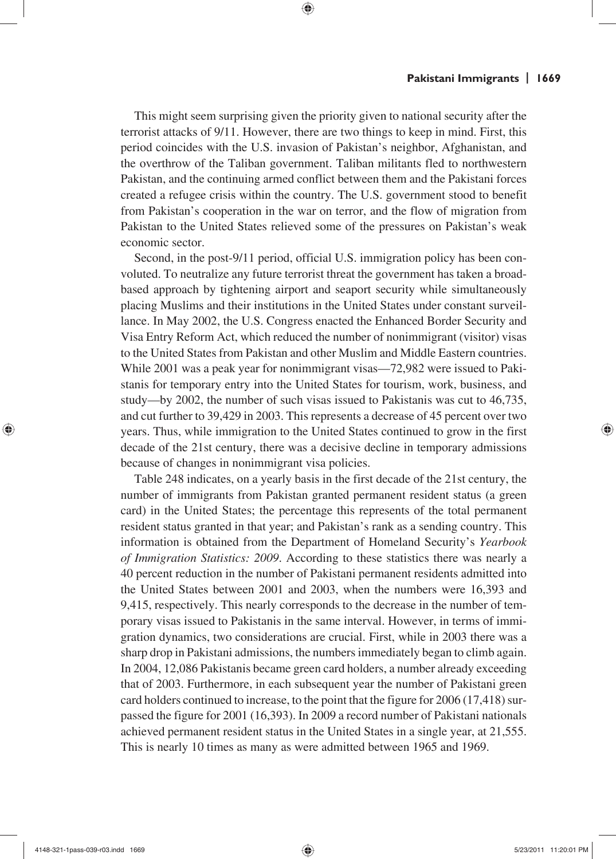This might seem surprising given the priority given to national security after the terrorist attacks of 9/11. However, there are two things to keep in mind. First, this period coincides with the U.S. invasion of Pakistan's neighbor, Afghanistan, and the overthrow of the Taliban government. Taliban militants fled to northwestern Pakistan, and the continuing armed conflict between them and the Pakistani forces created a refugee crisis within the country. The U.S. government stood to benefit from Pakistan's cooperation in the war on terror, and the flow of migration from Pakistan to the United States relieved some of the pressures on Pakistan's weak economic sector.

⊕

 Second, in the post-9/11 period, official U.S. immigration policy has been convoluted. To neutralize any future terrorist threat the government has taken a broadbased approach by tightening airport and seaport security while simultaneously placing Muslims and their institutions in the United States under constant surveillance. In May 2002, the U.S. Congress enacted the Enhanced Border Security and Visa Entry Reform Act, which reduced the number of nonimmigrant (visitor) visas to the United States from Pakistan and other Muslim and Middle Eastern countries. While 2001 was a peak year for nonimmigrant visas—72,982 were issued to Pakistanis for temporary entry into the United States for tourism, work, business, and study—by 2002, the number of such visas issued to Pakistanis was cut to 46,735, and cut further to 39,429 in 2003. This represents a decrease of 45 percent over two years. Thus, while immigration to the United States continued to grow in the first decade of the 21st century, there was a decisive decline in temporary admissions because of changes in nonimmigrant visa policies.

 Table 248 indicates, on a yearly basis in the first decade of the 21st century, the number of immigrants from Pakistan granted permanent resident status (a green card) in the United States; the percentage this represents of the total permanent resident status granted in that year; and Pakistan's rank as a sending country. This information is obtained from the Department of Homeland Security's *Yearbook of Immigration Statistics: 2009* . According to these statistics there was nearly a 40 percent reduction in the number of Pakistani permanent residents admitted into the United States between 2001 and 2003, when the numbers were 16,393 and 9,415, respectively. This nearly corresponds to the decrease in the number of temporary visas issued to Pakistanis in the same interval. However, in terms of immigration dynamics, two considerations are crucial. First, while in 2003 there was a sharp drop in Pakistani admissions, the numbers immediately began to climb again. In 2004, 12,086 Pakistanis became green card holders, a number already exceeding that of 2003. Furthermore, in each subsequent year the number of Pakistani green card holders continued to increase, to the point that the figure for 2006 (17,418) surpassed the figure for 2001 (16,393). In 2009 a record number of Pakistani nationals achieved permanent resident status in the United States in a single year, at 21,555. This is nearly 10 times as many as were admitted between 1965 and 1969.

♠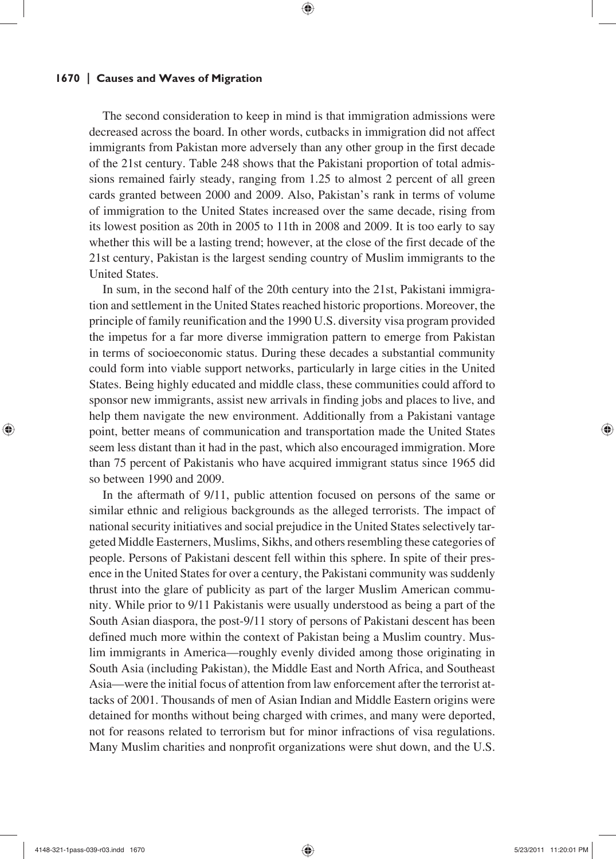#### **1670 | Causes and Waves of Migration**

 The second consideration to keep in mind is that immigration admissions were decreased across the board. In other words, cutbacks in immigration did not affect immigrants from Pakistan more adversely than any other group in the first decade of the 21st century. Table 248 shows that the Pakistani proportion of total admissions remained fairly steady, ranging from 1.25 to almost 2 percent of all green cards granted between 2000 and 2009. Also, Pakistan's rank in terms of volume of immigration to the United States increased over the same decade, rising from its lowest position as 20th in 2005 to 11th in 2008 and 2009. It is too early to say whether this will be a lasting trend; however, at the close of the first decade of the 21st century, Pakistan is the largest sending country of Muslim immigrants to the United States.

⊕

 In sum, in the second half of the 20th century into the 21st, Pakistani immigration and settlement in the United States reached historic proportions. Moreover, the principle of family reunification and the 1990 U.S. diversity visa program provided the impetus for a far more diverse immigration pattern to emerge from Pakistan in terms of socioeconomic status. During these decades a substantial community could form into viable support networks, particularly in large cities in the United States. Being highly educated and middle class, these communities could afford to sponsor new immigrants, assist new arrivals in finding jobs and places to live, and help them navigate the new environment. Additionally from a Pakistani vantage point, better means of communication and transportation made the United States seem less distant than it had in the past, which also encouraged immigration. More than 75 percent of Pakistanis who have acquired immigrant status since 1965 did so between 1990 and 2009.

 In the aftermath of 9/11, public attention focused on persons of the same or similar ethnic and religious backgrounds as the alleged terrorists. The impact of national security initiatives and social prejudice in the United States selectively targeted Middle Easterners, Muslims, Sikhs, and others resembling these categories of people. Persons of Pakistani descent fell within this sphere. In spite of their presence in the United States for over a century, the Pakistani community was suddenly thrust into the glare of publicity as part of the larger Muslim American community. While prior to 9/11 Pakistanis were usually understood as being a part of the South Asian diaspora, the post-9/11 story of persons of Pakistani descent has been defined much more within the context of Pakistan being a Muslim country. Muslim immigrants in America—roughly evenly divided among those originating in South Asia (including Pakistan), the Middle East and North Africa, and Southeast Asia—were the initial focus of attention from law enforcement after the terrorist attacks of 2001. Thousands of men of Asian Indian and Middle Eastern origins were detained for months without being charged with crimes, and many were deported, not for reasons related to terrorism but for minor infractions of visa regulations. Many Muslim charities and nonprofit organizations were shut down, and the U.S.

♠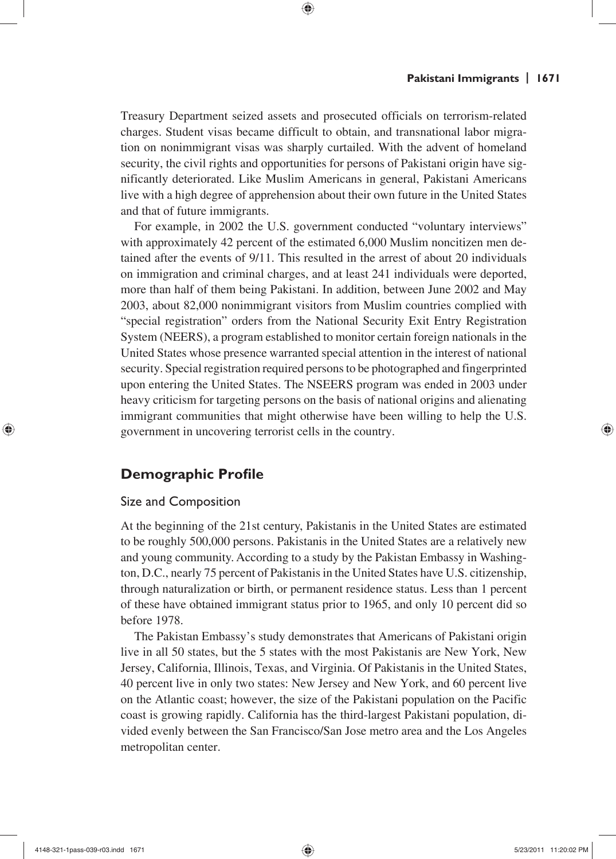Treasury Department seized assets and prosecuted officials on terrorism-related charges. Student visas became difficult to obtain, and transnational labor migration on nonimmigrant visas was sharply curtailed. With the advent of homeland security, the civil rights and opportunities for persons of Pakistani origin have significantly deteriorated. Like Muslim Americans in general, Pakistani Americans live with a high degree of apprehension about their own future in the United States and that of future immigrants.

 $\bigcirc \hspace{-1.4mm}$ 

For example, in 2002 the U.S. government conducted "voluntary interviews" with approximately 42 percent of the estimated 6,000 Muslim noncitizen men detained after the events of 9/11. This resulted in the arrest of about 20 individuals on immigration and criminal charges, and at least 241 individuals were deported, more than half of them being Pakistani. In addition, between June 2002 and May 2003, about 82,000 nonimmigrant visitors from Muslim countries complied with "special registration‰ orders from the National Security Exit Entry Registration System (NEERS), a program established to monitor certain foreign nationals in the United States whose presence warranted special attention in the interest of national security. Special registration required persons to be photographed and fingerprinted upon entering the United States. The NSEERS program was ended in 2003 under heavy criticism for targeting persons on the basis of national origins and alienating immigrant communities that might otherwise have been willing to help the U.S. government in uncovering terrorist cells in the country.

# **Demographic Profile**

#### Size and Composition

 At the beginning of the 21st century, Pakistanis in the United States are estimated to be roughly 500,000 persons. Pakistanis in the United States are a relatively new and young community. According to a study by the Pakistan Embassy in Washington, D.C., nearly 75 percent of Pakistanis in the United States have U.S. citizenship, through naturalization or birth, or permanent residence status. Less than 1 percent of these have obtained immigrant status prior to 1965, and only 10 percent did so before 1978.

The Pakistan Embassy's study demonstrates that Americans of Pakistani origin live in all 50 states, but the 5 states with the most Pakistanis are New York, New Jersey, California, Illinois, Texas, and Virginia. Of Pakistanis in the United States, 40 percent live in only two states: New Jersey and New York, and 60 percent live on the Atlantic coast; however, the size of the Pakistani population on the Pacific coast is growing rapidly. California has the third-largest Pakistani population, divided evenly between the San Francisco/San Jose metro area and the Los Angeles metropolitan center.

♠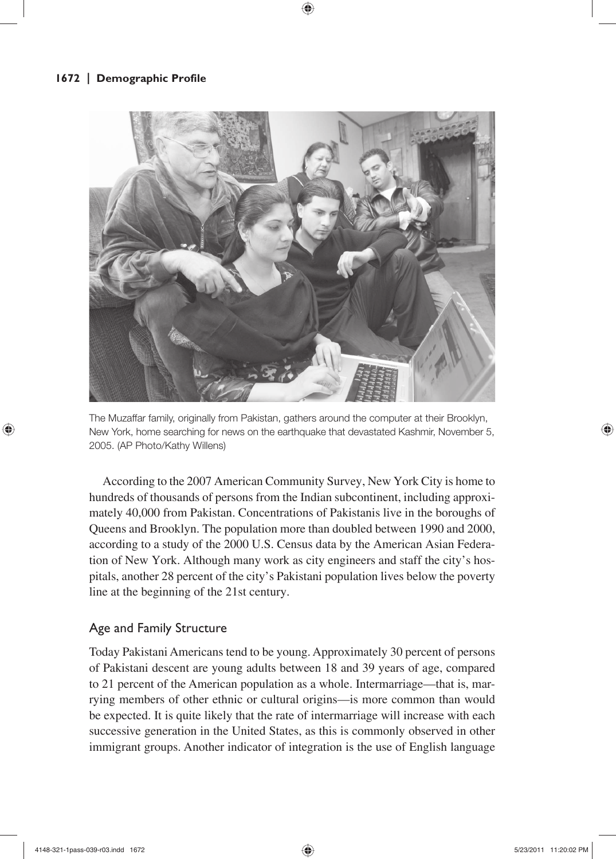#### **1672 | Demographic Profile**



⊕

The Muzaffar family, originally from Pakistan, gathers around the computer at their Brooklyn, New York, home searching for news on the earthquake that devastated Kashmir, November 5, 2005. (AP Photo/Kathy Willens)

 According to the 2007 American Community Survey, New York City is home to hundreds of thousands of persons from the Indian subcontinent, including approximately 40,000 from Pakistan. Concentrations of Pakistanis live in the boroughs of Queens and Brooklyn. The population more than doubled between 1990 and 2000, according to a study of the 2000 U.S. Census data by the American Asian Federation of New York. Although many work as city engineers and staff the city's hospitals, another 28 percent of the city's Pakistani population lives below the poverty line at the beginning of the 21st century.

# Age and Family Structure

 Today Pakistani Americans tend to be young. Approximately 30 percent of persons of Pakistani descent are young adults between 18 and 39 years of age, compared to 21 percent of the American population as a whole. Intermarriage—that is, marrying members of other ethnic or cultural origins—is more common than would be expected. It is quite likely that the rate of intermarriage will increase with each successive generation in the United States, as this is commonly observed in other immigrant groups. Another indicator of integration is the use of English language

♠

⊕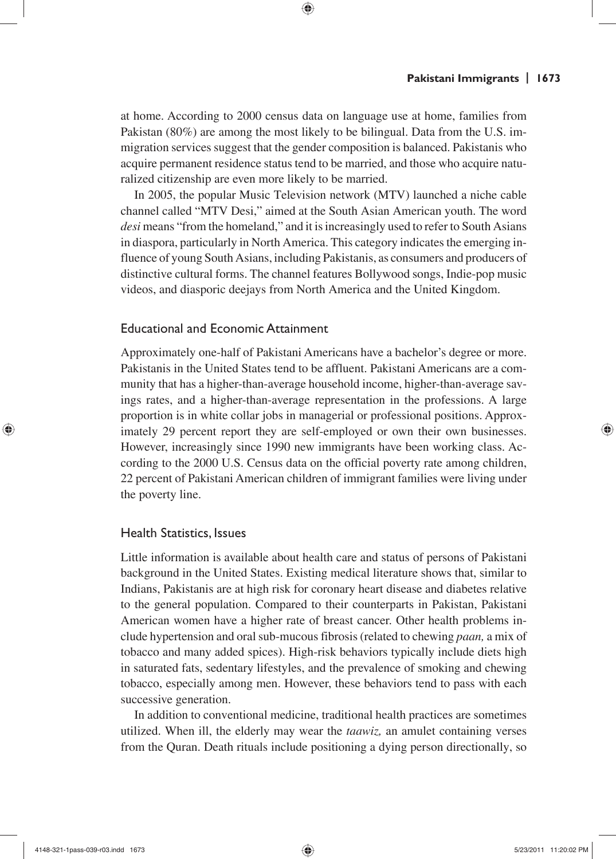at home. According to 2000 census data on language use at home, families from Pakistan (80%) are among the most likely to be bilingual. Data from the U.S. immigration services suggest that the gender composition is balanced. Pakistanis who acquire permanent residence status tend to be married, and those who acquire naturalized citizenship are even more likely to be married.

⊕

 In 2005, the popular Music Television network (MTV) launched a niche cable channel called "MTV Desi," aimed at the South Asian American youth. The word *desi* means "from the homeland," and it is increasingly used to refer to South Asians in diaspora, particularly in North America. This category indicates the emerging influence of young South Asians, including Pakistanis, as consumers and producers of distinctive cultural forms. The channel features Bollywood songs, Indie-pop music videos, and diasporic deejays from North America and the United Kingdom.

# Educational and Economic Attainment

Approximately one-half of Pakistani Americans have a bachelor's degree or more. Pakistanis in the United States tend to be affluent. Pakistani Americans are a community that has a higher-than-average household income, higher-than-average savings rates, and a higher-than-average representation in the professions. A large proportion is in white collar jobs in managerial or professional positions. Approximately 29 percent report they are self-employed or own their own businesses. However, increasingly since 1990 new immigrants have been working class. According to the 2000 U.S. Census data on the official poverty rate among children, 22 percent of Pakistani American children of immigrant families were living under the poverty line.

#### Health Statistics, Issues

 Little information is available about health care and status of persons of Pakistani background in the United States. Existing medical literature shows that, similar to Indians, Pakistanis are at high risk for coronary heart disease and diabetes relative to the general population. Compared to their counterparts in Pakistan, Pakistani American women have a higher rate of breast cancer. Other health problems include hypertension and oral sub-mucous fibrosis (related to chewing *paan,* a mix of tobacco and many added spices). High-risk behaviors typically include diets high in saturated fats, sedentary lifestyles, and the prevalence of smoking and chewing tobacco, especially among men. However, these behaviors tend to pass with each successive generation.

 In addition to conventional medicine, traditional health practices are sometimes utilized. When ill, the elderly may wear the *taawiz,* an amulet containing verses from the Quran. Death rituals include positioning a dying person directionally, so

♠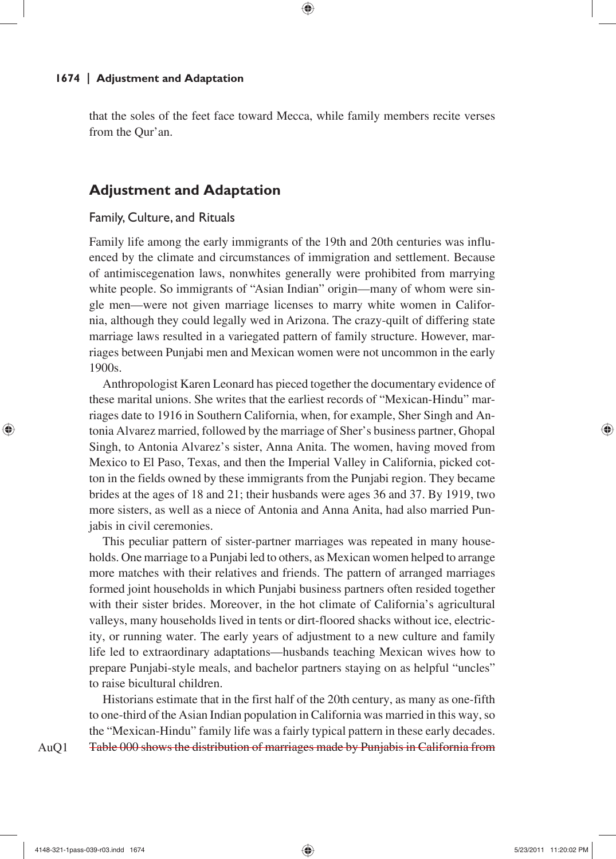#### **1674 | Adjustment and Adaptation**

that the soles of the feet face toward Mecca, while family members recite verses from the Qur'an.

⊕

# **Adjustment and Adaptation**

### Family, Culture, and Rituals

 Family life among the early immigrants of the 19th and 20th centuries was influenced by the climate and circumstances of immigration and settlement. Because of antimiscegenation laws, nonwhites generally were prohibited from marrying white people. So immigrants of "Asian Indian" origin—many of whom were single men—were not given marriage licenses to marry white women in California, although they could legally wed in Arizona. The crazy-quilt of differing state marriage laws resulted in a variegated pattern of family structure. However, marriages between Punjabi men and Mexican women were not uncommon in the early 1900s.

 Anthropologist Karen Leonard has pieced together the documentary evidence of these marital unions. She writes that the earliest records of "Mexican-Hindu" marriages date to 1916 in Southern California, when, for example, Sher Singh and Antonia Alvarez married, followed by the marriage of Sher's business partner, Ghopal Singh, to Antonia Alvarez's sister, Anna Anita. The women, having moved from Mexico to El Paso, Texas, and then the Imperial Valley in California, picked cotton in the fields owned by these immigrants from the Punjabi region. They became brides at the ages of 18 and 21; their husbands were ages 36 and 37. By 1919, two more sisters, as well as a niece of Antonia and Anna Anita, had also married Punjabis in civil ceremonies.

 This peculiar pattern of sister-partner marriages was repeated in many households. One marriage to a Punjabi led to others, as Mexican women helped to arrange more matches with their relatives and friends. The pattern of arranged marriages formed joint households in which Punjabi business partners often resided together with their sister brides. Moreover, in the hot climate of California's agricultural valleys, many households lived in tents or dirt-floored shacks without ice, electricity, or running water. The early years of adjustment to a new culture and family life led to extraordinary adaptations—husbands teaching Mexican wives how to prepare Punjabi-style meals, and bachelor partners staying on as helpful "uncles‰ to raise bicultural children.

 Historians estimate that in the first half of the 20th century, as many as one-fifth to one-third of the Asian Indian population in California was married in this way, so the "Mexican-Hindu" family life was a fairly typical pattern in these early decades. AuQ1 Table 000 shows the distribution of marriages made by Punjabis in California from

♠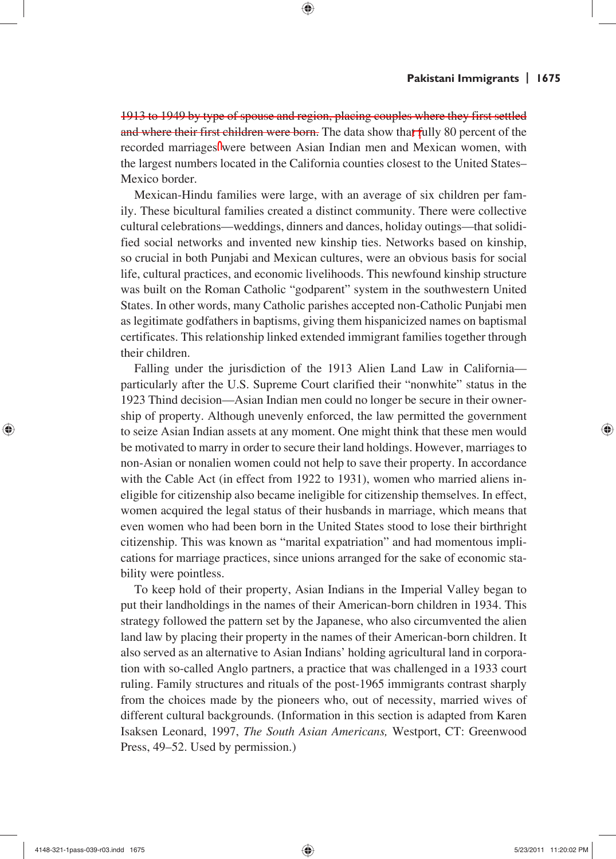1913 to 1949 by type of spouse and region, placing couples where they first settled and where their first children were born. The data show that fully 80 percent of the recorded marriages were between Asian Indian men and Mexican women, with the largest numbers located in the California counties closest to the United States– Mexico border.

⊕

 Mexican-Hindu families were large, with an average of six children per family. These bicultural families created a distinct community. There were collective cultural celebrations—weddings, dinners and dances, holiday outings—that solidified social networks and invented new kinship ties. Networks based on kinship, so crucial in both Punjabi and Mexican cultures, were an obvious basis for social life, cultural practices, and economic livelihoods. This newfound kinship structure was built on the Roman Catholic "godparent" system in the southwestern United States. In other words, many Catholic parishes accepted non-Catholic Punjabi men as legitimate godfathers in baptisms, giving them hispanicized names on baptismal certificates. This relationship linked extended immigrant families together through their children.

Falling under the jurisdiction of the 1913 Alien Land Law in Californiaparticularly after the U.S. Supreme Court clarified their "nonwhite" status in the 1923 Thind decision—Asian Indian men could no longer be secure in their ownership of property. Although unevenly enforced, the law permitted the government to seize Asian Indian assets at any moment. One might think that these men would be motivated to marry in order to secure their land holdings. However, marriages to non-Asian or nonalien women could not help to save their property. In accordance with the Cable Act (in effect from 1922 to 1931), women who married aliens ineligible for citizenship also became ineligible for citizenship themselves. In effect, women acquired the legal status of their husbands in marriage, which means that even women who had been born in the United States stood to lose their birthright citizenship. This was known as "marital expatriation" and had momentous implications for marriage practices, since unions arranged for the sake of economic stability were pointless.

 To keep hold of their property, Asian Indians in the Imperial Valley began to put their landholdings in the names of their American-born children in 1934. This strategy followed the pattern set by the Japanese, who also circumvented the alien land law by placing their property in the names of their American-born children. It also served as an alternative to Asian Indians' holding agricultural land in corporation with so-called Anglo partners, a practice that was challenged in a 1933 court ruling. Family structures and rituals of the post-1965 immigrants contrast sharply from the choices made by the pioneers who, out of necessity, married wives of different cultural backgrounds. (Information in this section is adapted from Karen Isaksen Leonard, 1997, *The South Asian Americans,* Westport, CT: Greenwood Press, 49–52. Used by permission.)

♠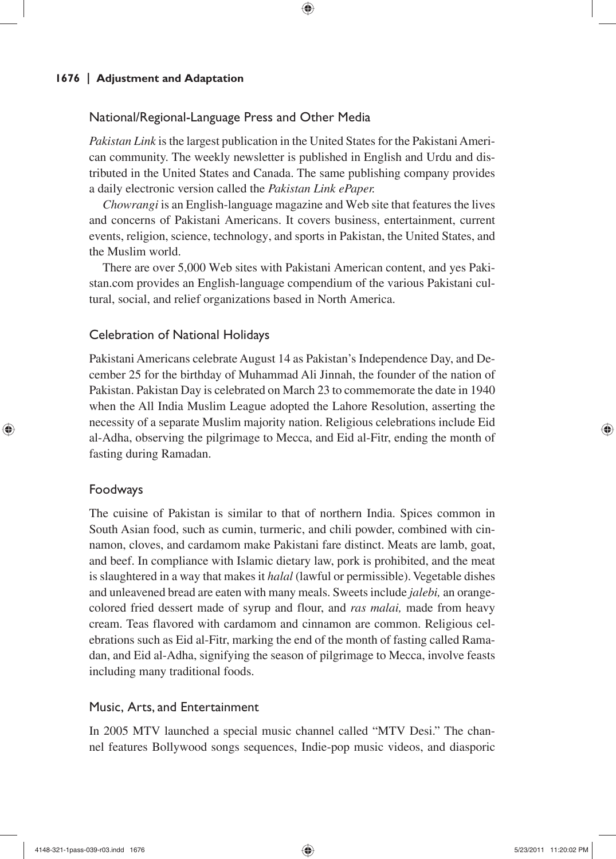#### **1676 | Adjustment and Adaptation**

### National/Regional-Language Press and Other Media

*Pakistan Link* is the largest publication in the United States for the Pakistani American community. The weekly newsletter is published in English and Urdu and distributed in the United States and Canada. The same publishing company provides a daily electronic version called the *Pakistan Link ePaper.*

 $\bigcirc \hspace{-1.4mm}$ 

*Chowrangi* is an English-language magazine and Web site that features the lives and concerns of Pakistani Americans. It covers business, entertainment, current events, religion, science, technology, and sports in Pakistan, the United States, and the Muslim world.

 There are over 5,000 Web sites with Pakistani American content, and yes Pakistan.com provides an English-language compendium of the various Pakistani cultural, social, and relief organizations based in North America.

#### Celebration of National Holidays

Pakistani Americans celebrate August 14 as Pakistan's Independence Day, and December 25 for the birthday of Muhammad Ali Jinnah, the founder of the nation of Pakistan. Pakistan Day is celebrated on March 23 to commemorate the date in 1940 when the All India Muslim League adopted the Lahore Resolution, asserting the necessity of a separate Muslim majority nation. Religious celebrations include Eid al-Adha, observing the pilgrimage to Mecca, and Eid al-Fitr, ending the month of fasting during Ramadan.

#### Foodways

⊕

 The cuisine of Pakistan is similar to that of northern India. Spices common in South Asian food, such as cumin, turmeric, and chili powder, combined with cinnamon, cloves, and cardamom make Pakistani fare distinct. Meats are lamb, goat, and beef. In compliance with Islamic dietary law, pork is prohibited, and the meat is slaughtered in a way that makes it *halal* (lawful or permissible). Vegetable dishes and unleavened bread are eaten with many meals. Sweets include *jalebi,* an orange colored fried dessert made of syrup and flour, and *ras malai,* made from heavy cream. Teas flavored with cardamom and cinnamon are common. Religious celebrations such as Eid al-Fitr, marking the end of the month of fasting called Ramadan, and Eid al-Adha, signifying the season of pilgrimage to Mecca, involve feasts including many traditional foods.

#### Music, Arts, and Entertainment

In 2005 MTV launched a special music channel called "MTV Desi." The channel features Bollywood songs sequences, Indie-pop music videos, and diasporic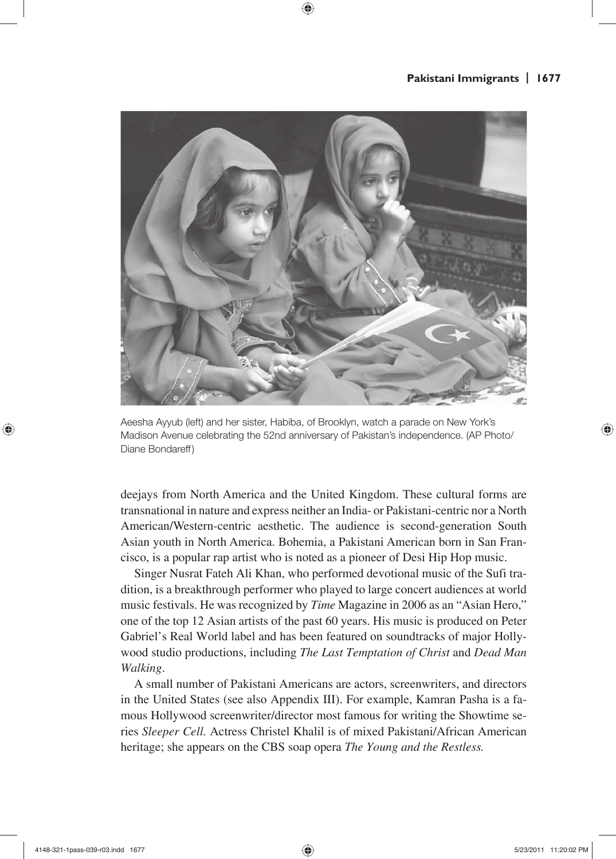

⊕

Aeesha Ayyub (left) and her sister, Habiba, of Brooklyn, watch a parade on New York's Madison Avenue celebrating the 52nd anniversary of Pakistan's independence. (AP Photo/ Diane Bondareff)

deejays from North America and the United Kingdom. These cultural forms are transnational in nature and express neither an India- or Pakistani-centric nor a North American/Western-centric aesthetic. The audience is second-generation South Asian youth in North America. Bohemia, a Pakistani American born in San Francisco, is a popular rap artist who is noted as a pioneer of Desi Hip Hop music.

 Singer Nusrat Fateh Ali Khan, who performed devotional music of the Sufi tradition, is a breakthrough performer who played to large concert audiences at world music festivals. He was recognized by *Time* Magazine in 2006 as an "Asian Hero," one of the top 12 Asian artists of the past 60 years. His music is produced on Peter Gabriel's Real World label and has been featured on soundtracks of major Hollywood studio productions, including *The Last Temptation of Christ* and *Dead Man Walking* .

 A small number of Pakistani Americans are actors, screenwriters, and directors in the United States (see also Appendix III). For example, Kamran Pasha is a famous Hollywood screenwriter/director most famous for writing the Showtime series *Sleeper Cell.* Actress Christel Khalil is of mixed Pakistani/African American heritage; she appears on the CBS soap opera *The Young and the Restless.*

♠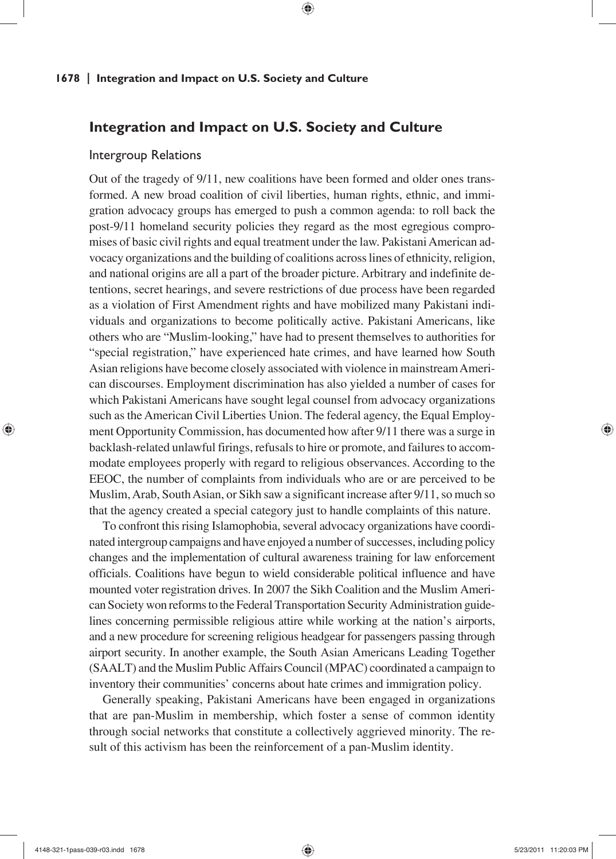### **1678 | Integration and Impact on U.S. Society and Culture**

# **Integration and Impact on U.S. Society and Culture**

⊕

#### Intergroup Relations

 Out of the tragedy of 9/11, new coalitions have been formed and older ones transformed. A new broad coalition of civil liberties, human rights, ethnic, and immigration advocacy groups has emerged to push a common agenda: to roll back the post-9/11 homeland security policies they regard as the most egregious compromises of basic civil rights and equal treatment under the law. Pakistani American advocacy organizations and the building of coalitions across lines of ethnicity, religion, and national origins are all a part of the broader picture. Arbitrary and indefinite detentions, secret hearings, and severe restrictions of due process have been regarded as a violation of First Amendment rights and have mobilized many Pakistani individuals and organizations to become politically active. Pakistani Americans, like others who are "Muslim-looking," have had to present themselves to authorities for "special registration," have experienced hate crimes, and have learned how South Asian religions have become closely associated with violence in mainstream American discourses. Employment discrimination has also yielded a number of cases for which Pakistani Americans have sought legal counsel from advocacy organizations such as the American Civil Liberties Union. The federal agency, the Equal Employment Opportunity Commission, has documented how after 9/11 there was a surge in backlash-related unlawful firings, refusals to hire or promote, and failures to accommodate employees properly with regard to religious observances. According to the EEOC, the number of complaints from individuals who are or are perceived to be Muslim, Arab, South Asian, or Sikh saw a significant increase after 9/11, so much so that the agency created a special category just to handle complaints of this nature.

 To confront this rising Islamophobia, several advocacy organizations have coordinated intergroup campaigns and have enjoyed a number of successes, including policy changes and the implementation of cultural awareness training for law enforcement officials. Coalitions have begun to wield considerable political influence and have mounted voter registration drives. In 2007 the Sikh Coalition and the Muslim American Society won reforms to the Federal Transportation Security Administration guidelines concerning permissible religious attire while working at the nation's airports, and a new procedure for screening religious headgear for passengers passing through airport security. In another example, the South Asian Americans Leading Together (SAALT) and the Muslim Public Affairs Council (MPAC) coordinated a campaign to inventory their communities' concerns about hate crimes and immigration policy.

 Generally speaking, Pakistani Americans have been engaged in organizations that are pan-Muslim in membership, which foster a sense of common identity through social networks that constitute a collectively aggrieved minority. The result of this activism has been the reinforcement of a pan-Muslim identity.

♠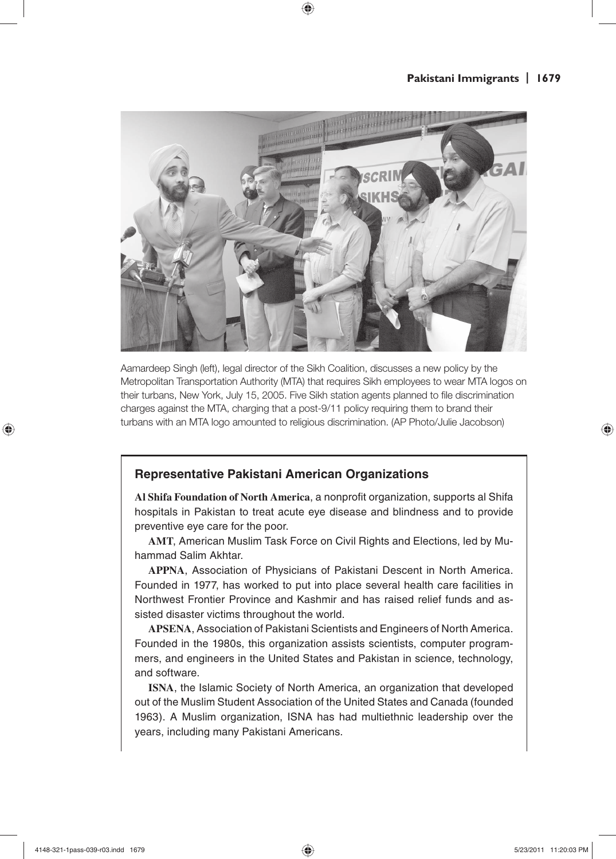

⊕

Aamardeep Singh (left), legal director of the Sikh Coalition, discusses a new policy by the Metropolitan Transportation Authority (MTA) that requires Sikh employees to wear MTA logos on their turbans, New York, July 15, 2005. Five Sikh station agents planned to file discrimination charges against the MTA, charging that a post-9/11 policy requiring them to brand their turbans with an MTA logo amounted to religious discrimination. (AP Photo/Julie Jacobson)

#### **Representative Pakistani American Organizations**

Al Shifa Foundation of North America, a nonprofit organization, supports al Shifa hospitals in Pakistan to treat acute eye disease and blindness and to provide preventive eye care for the poor.

**AMT**, American Muslim Task Force on Civil Rights and Elections, led by Muhammad Salim Akhtar.

**APPNA**, Association of Physicians of Pakistani Descent in North America. Founded in 1977, has worked to put into place several health care facilities in Northwest Frontier Province and Kashmir and has raised relief funds and assisted disaster victims throughout the world.

**APSENA**, Association of Pakistani Scientists and Engineers of North America. Founded in the 1980s, this organization assists scientists, computer programmers, and engineers in the United States and Pakistan in science, technology, and software.

**ISNA**, the Islamic Society of North America, an organization that developed out of the Muslim Student Association of the United States and Canada (founded 1963). A Muslim organization, ISNA has had multiethnic leadership over the years, including many Pakistani Americans.

⊕

⊕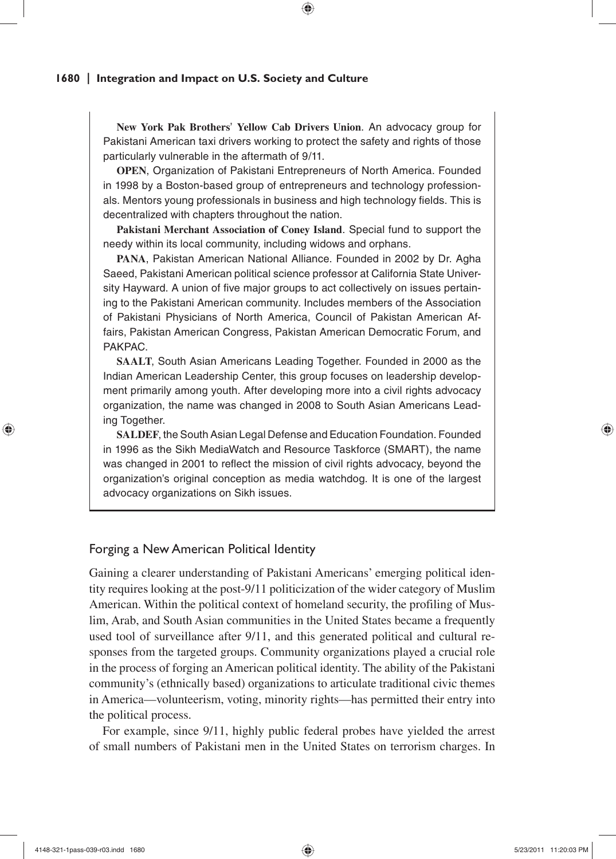#### **1680 | Integration and Impact on U.S. Society and Culture**

**New York Pak Brothers**' **Yellow Cab Drivers Union**. An advocacy group for Pakistani American taxi drivers working to protect the safety and rights of those particularly vulnerable in the aftermath of 9/11.

⊕

**OPEN**, Organization of Pakistani Entrepreneurs of North America. Founded in 1998 by a Boston-based group of entrepreneurs and technology professionals. Mentors young professionals in business and high technology fields. This is decentralized with chapters throughout the nation.

**Pakistani Merchant Association of Coney Island**. Special fund to support the needy within its local community, including widows and orphans.

**PANA**, Pakistan American National Alliance. Founded in 2002 by Dr. Agha Saeed, Pakistani American political science professor at California State University Hayward. A union of five major groups to act collectively on issues pertaining to the Pakistani American community. Includes members of the Association of Pakistani Physicians of North America, Council of Pakistan American Affairs, Pakistan American Congress, Pakistan American Democratic Forum, and PAKPAC.

**SAALT**, South Asian Americans Leading Together. Founded in 2000 as the Indian American Leadership Center, this group focuses on leadership development primarily among youth. After developing more into a civil rights advocacy organization, the name was changed in 2008 to South Asian Americans Leading Together.

**SALDEF**, the South Asian Legal Defense and Education Foundation. Founded in 1996 as the Sikh MediaWatch and Resource Taskforce (SMART), the name was changed in 2001 to reflect the mission of civil rights advocacy, beyond the organization's original conception as media watchdog. It is one of the largest advocacy organizations on Sikh issues.

#### Forging a New American Political Identity

Gaining a clearer understanding of Pakistani Americans' emerging political identity requires looking at the post-9/11 politicization of the wider category of Muslim American. Within the political context of homeland security, the profiling of Muslim, Arab, and South Asian communities in the United States became a frequently used tool of surveillance after 9/11, and this generated political and cultural responses from the targeted groups. Community organizations played a crucial role in the process of forging an American political identity. The ability of the Pakistani community's (ethnically based) organizations to articulate traditional civic themes in America—volunteerism, voting, minority rights—has permitted their entry into the political process.

 For example, since 9/11, highly public federal probes have yielded the arrest of small numbers of Pakistani men in the United States on terrorism charges. In

♠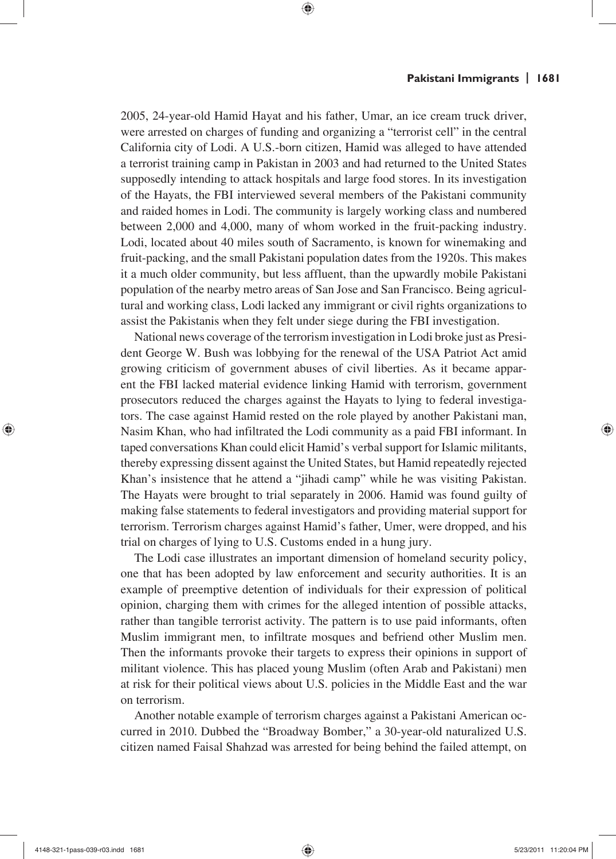2005, 24-year-old Hamid Hayat and his father, Umar, an ice cream truck driver, were arrested on charges of funding and organizing a "terrorist cell" in the central California city of Lodi. A U.S.-born citizen, Hamid was alleged to have attended a terrorist training camp in Pakistan in 2003 and had returned to the United States supposedly intending to attack hospitals and large food stores. In its investigation of the Hayats, the FBI interviewed several members of the Pakistani community and raided homes in Lodi. The community is largely working class and numbered between 2,000 and 4,000, many of whom worked in the fruit-packing industry. Lodi, located about 40 miles south of Sacramento, is known for winemaking and fruit-packing, and the small Pakistani population dates from the 1920s. This makes it a much older community, but less affluent, than the upwardly mobile Pakistani population of the nearby metro areas of San Jose and San Francisco. Being agricultural and working class, Lodi lacked any immigrant or civil rights organizations to assist the Pakistanis when they felt under siege during the FBI investigation.

⊕

 National news coverage of the terrorism investigation in Lodi broke just as President George W. Bush was lobbying for the renewal of the USA Patriot Act amid growing criticism of government abuses of civil liberties. As it became apparent the FBI lacked material evidence linking Hamid with terrorism, government prosecutors reduced the charges against the Hayats to lying to federal investigators. The case against Hamid rested on the role played by another Pakistani man, Nasim Khan, who had infiltrated the Lodi community as a paid FBI informant. In taped conversations Khan could elicit Hamid's verbal support for Islamic militants, thereby expressing dissent against the United States, but Hamid repeatedly rejected Khan's insistence that he attend a "jihadi camp" while he was visiting Pakistan. The Hayats were brought to trial separately in 2006. Hamid was found guilty of making false statements to federal investigators and providing material support for terrorism. Terrorism charges against Hamid's father, Umer, were dropped, and his trial on charges of lying to U.S. Customs ended in a hung jury.

 The Lodi case illustrates an important dimension of homeland security policy, one that has been adopted by law enforcement and security authorities. It is an example of preemptive detention of individuals for their expression of political opinion, charging them with crimes for the alleged intention of possible attacks, rather than tangible terrorist activity. The pattern is to use paid informants, often Muslim immigrant men, to infiltrate mosques and befriend other Muslim men. Then the informants provoke their targets to express their opinions in support of militant violence. This has placed young Muslim (often Arab and Pakistani) men at risk for their political views about U.S. policies in the Middle East and the war on terrorism.

 Another notable example of terrorism charges against a Pakistani American occurred in 2010. Dubbed the "Broadway Bomber," a 30-year-old naturalized U.S. citizen named Faisal Shahzad was arrested for being behind the failed attempt, on

♠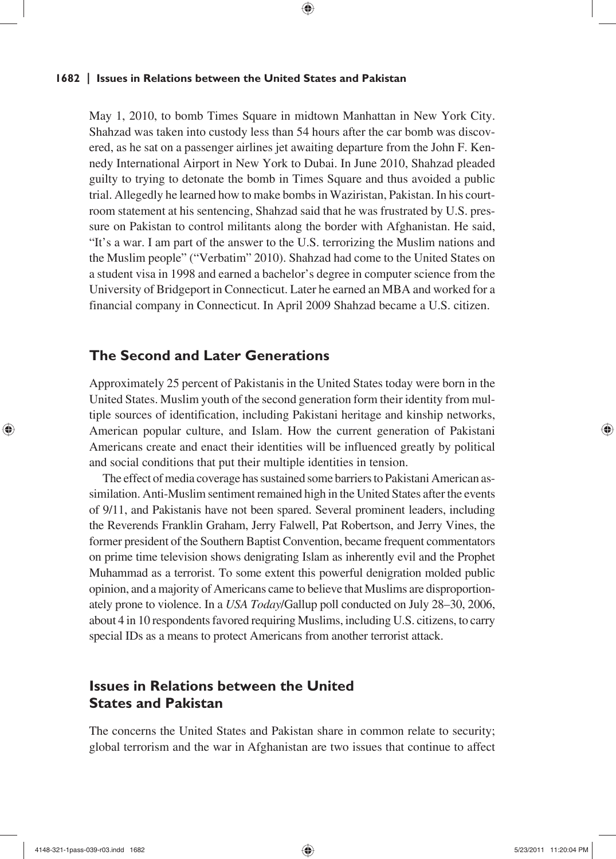#### **1682 | Issues in Relations between the United States and Pakistan**

May 1, 2010, to bomb Times Square in midtown Manhattan in New York City. Shahzad was taken into custody less than 54 hours after the car bomb was discovered, as he sat on a passenger airlines jet awaiting departure from the John F. Kennedy International Airport in New York to Dubai. In June 2010, Shahzad pleaded guilty to trying to detonate the bomb in Times Square and thus avoided a public trial. Allegedly he learned how to make bombs in Waziristan, Pakistan. In his courtroom statement at his sentencing, Shahzad said that he was frustrated by U.S. pressure on Pakistan to control militants along the border with Afghanistan. He said, "It's a war. I am part of the answer to the U.S. terrorizing the Muslim nations and the Muslim people" ("Verbatim" 2010). Shahzad had come to the United States on a student visa in 1998 and earned a bachelor's degree in computer science from the University of Bridgeport in Connecticut. Later he earned an MBA and worked for a financial company in Connecticut. In April 2009 Shahzad became a U.S. citizen.

⊕

# **The Second and Later Generations**

 Approximately 25 percent of Pakistanis in the United States today were born in the United States. Muslim youth of the second generation form their identity from multiple sources of identification, including Pakistani heritage and kinship networks, American popular culture, and Islam. How the current generation of Pakistani Americans create and enact their identities will be influenced greatly by political and social conditions that put their multiple identities in tension.

 The effect of media coverage has sustained some barriers to Pakistani American assimilation. Anti-Muslim sentiment remained high in the United States after the events of 9/11, and Pakistanis have not been spared. Several prominent leaders, including the Reverends Franklin Graham, Jerry Falwell, Pat Robertson, and Jerry Vines, the former president of the Southern Baptist Convention, became frequent commentators on prime time television shows denigrating Islam as inherently evil and the Prophet Muhammad as a terrorist. To some extent this powerful denigration molded public opinion, and a majority of Americans came to believe that Muslims are disproportionately prone to violence. In a *USA Today* /Gallup poll conducted on July 28–30, 2006, about 4 in 10 respondents favored requiring Muslims, including U.S. citizens, to carry special IDs as a means to protect Americans from another terrorist attack.

# **Issues in Relations between the United States and Pakistan**

 The concerns the United States and Pakistan share in common relate to security; global terrorism and the war in Afghanistan are two issues that continue to affect

⊕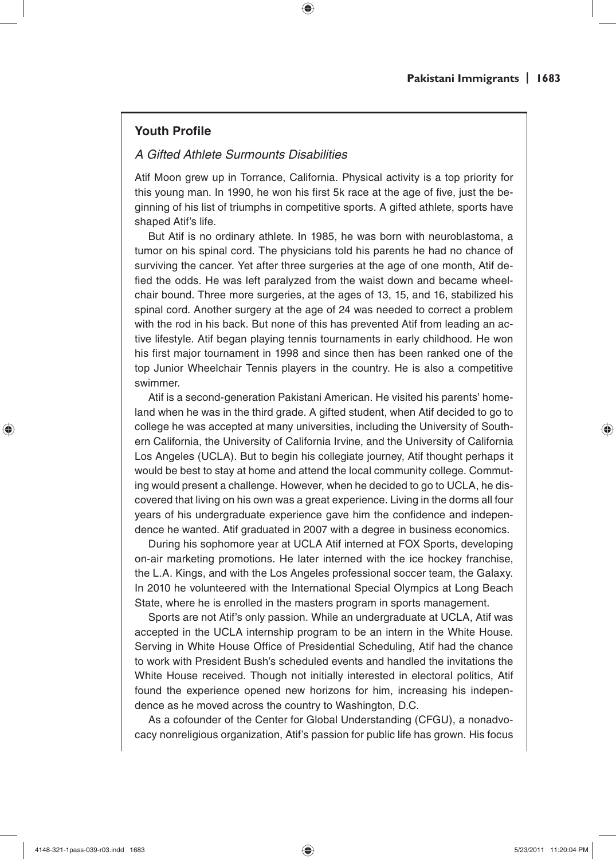# **Youth Profile**

# *A Gifted Athlete Surmounts Disabilities*

Atif Moon grew up in Torrance, California. Physical activity is a top priority for this young man. In 1990, he won his first 5k race at the age of five, just the beginning of his list of triumphs in competitive sports. A gifted athlete, sports have shaped Atif's life.

⊕

But Atif is no ordinary athlete. In 1985, he was born with neuroblastoma, a tumor on his spinal cord. The physicians told his parents he had no chance of surviving the cancer. Yet after three surgeries at the age of one month, Atif defied the odds. He was left paralyzed from the waist down and became wheelchair bound. Three more surgeries, at the ages of 13, 15, and 16, stabilized his spinal cord. Another surgery at the age of 24 was needed to correct a problem with the rod in his back. But none of this has prevented Atif from leading an active lifestyle. Atif began playing tennis tournaments in early childhood. He won his first major tournament in 1998 and since then has been ranked one of the top Junior Wheelchair Tennis players in the country. He is also a competitive swimmer.

Atif is a second-generation Pakistani American. He visited his parents' homeland when he was in the third grade. A gifted student, when Atif decided to go to college he was accepted at many universities, including the University of Southern California, the University of California Irvine, and the University of California Los Angeles (UCLA). But to begin his collegiate journey, Atif thought perhaps it would be best to stay at home and attend the local community college. Commuting would present a challenge. However, when he decided to go to UCLA, he discovered that living on his own was a great experience. Living in the dorms all four years of his undergraduate experience gave him the confidence and independence he wanted. Atif graduated in 2007 with a degree in business economics.

During his sophomore year at UCLA Atif interned at FOX Sports, developing on-air marketing promotions. He later interned with the ice hockey franchise, the L.A. Kings, and with the Los Angeles professional soccer team, the Galaxy. In 2010 he volunteered with the International Special Olympics at Long Beach State, where he is enrolled in the masters program in sports management.

Sports are not Atif's only passion. While an undergraduate at UCLA, Atif was accepted in the UCLA internship program to be an intern in the White House. Serving in White House Office of Presidential Scheduling, Atif had the chance to work with President Bush's scheduled events and handled the invitations the White House received. Though not initially interested in electoral politics, Atif found the experience opened new horizons for him, increasing his independence as he moved across the country to Washington, D.C.

As a cofounder of the Center for Global Understanding (CFGU), a nonadvocacy nonreligious organization, Atif's passion for public life has grown. His focus

♠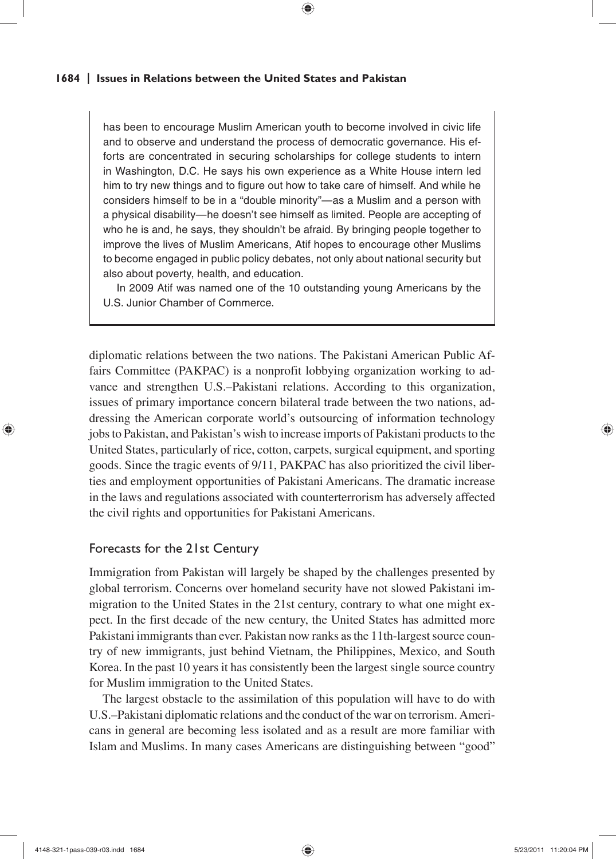#### **1684 | Issues in Relations between the United States and Pakistan**

has been to encourage Muslim American youth to become involved in civic life and to observe and understand the process of democratic governance. His efforts are concentrated in securing scholarships for college students to intern in Washington, D.C. He says his own experience as a White House intern led him to try new things and to figure out how to take care of himself. And while he considers himself to be in a "double minority"—as a Muslim and a person with a physical disability—he doesn't see himself as limited. People are accepting of who he is and, he says, they shouldn't be afraid. By bringing people together to improve the lives of Muslim Americans, Atif hopes to encourage other Muslims to become engaged in public policy debates, not only about national security but also about poverty, health, and education.

⊕

In 2009 Atif was named one of the 10 outstanding young Americans by the U.S. Junior Chamber of Commerce.

diplomatic relations between the two nations. The Pakistani American Public Affairs Committee (PAKPAC) is a nonprofit lobbying organization working to advance and strengthen U.S.–Pakistani relations. According to this organization, issues of primary importance concern bilateral trade between the two nations, addressing the American corporate world's outsourcing of information technology jobs to Pakistan, and Pakistan's wish to increase imports of Pakistani products to the United States, particularly of rice, cotton, carpets, surgical equipment, and sporting goods. Since the tragic events of 9/11, PAKPAC has also prioritized the civil liberties and employment opportunities of Pakistani Americans. The dramatic increase in the laws and regulations associated with counterterrorism has adversely affected the civil rights and opportunities for Pakistani Americans.

#### Forecasts for the 21st Century

 Immigration from Pakistan will largely be shaped by the challenges presented by global terrorism. Concerns over homeland security have not slowed Pakistani immigration to the United States in the 21st century, contrary to what one might expect. In the first decade of the new century, the United States has admitted more Pakistani immigrants than ever. Pakistan now ranks as the 11th-largest source country of new immigrants, just behind Vietnam, the Philippines, Mexico, and South Korea. In the past 10 years it has consistently been the largest single source country for Muslim immigration to the United States.

 The largest obstacle to the assimilation of this population will have to do with U.S.–Pakistani diplomatic relations and the conduct of the war on terrorism. Americans in general are becoming less isolated and as a result are more familiar with Islam and Muslims. In many cases Americans are distinguishing between "good"

♠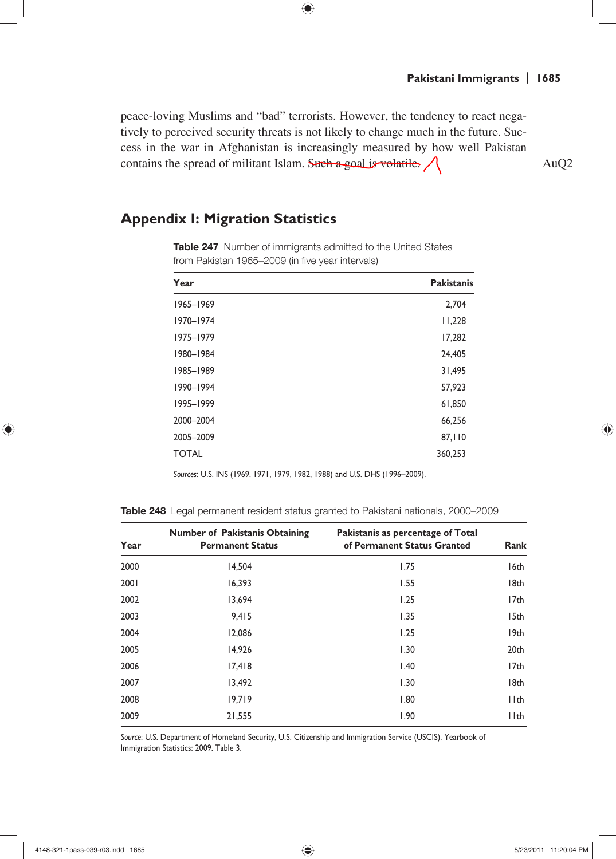peace-loving Muslims and "bad" terrorists. However, the tendency to react negatively to perceived security threats is not likely to change much in the future. Success in the war in Afghanistan is increasingly measured by how well Pakistan contains the spread of militant Islam. Such a goal is volatile.  $\bigwedge$ 

 $\bigoplus$ 

AuQ2

⊕

# **Appendix I: Migration Statistics**

| Year         | <b>Pakistanis</b> |
|--------------|-------------------|
| 1965-1969    | 2,704             |
| 1970-1974    | 11,228            |
| 1975-1979    | 17,282            |
| 1980-1984    | 24,405            |
| 1985-1989    | 31,495            |
| 1990-1994    | 57,923            |
| 1995-1999    | 61,850            |
| 2000-2004    | 66,256            |
| 2005-2009    | 87,110            |
| <b>TOTAL</b> | 360,253           |

**Table 247** Number of immigrants admitted to the United States from Pakistan 1965-2009 (in five year intervals)

*Sources*: U.S. INS (1969, 1971, 1979, 1982, 1988) and U.S. DHS (1996–2009).

**Table 248** Legal permanent resident status granted to Pakistani nationals, 2000–2009

| Year | <b>Number of Pakistanis Obtaining</b><br><b>Permanent Status</b> | Pakistanis as percentage of Total<br>of Permanent Status Granted | <b>Rank</b>      |
|------|------------------------------------------------------------------|------------------------------------------------------------------|------------------|
| 2000 | 14,504                                                           | 1.75                                                             | 16th             |
| 2001 | 16,393                                                           | 1.55                                                             | 18 <sub>th</sub> |
| 2002 | 13,694                                                           | 1.25                                                             | 17 <sub>th</sub> |
| 2003 | 9,415                                                            | 1.35                                                             | 15th             |
| 2004 | 12,086                                                           | 1.25                                                             | 19 <sub>th</sub> |
| 2005 | 14,926                                                           | 1.30                                                             | 20th             |
| 2006 | 17,418                                                           | 1.40                                                             | 17 <sub>th</sub> |
| 2007 | 13,492                                                           | 1.30                                                             | 18th             |
| 2008 | 19,719                                                           | 1.80                                                             | 11th             |
| 2009 | 21,555                                                           | 1.90                                                             | 11th             |

*Source*: U.S. Department of Homeland Security, U.S. Citizenship and Immigration Service (USCIS). Yearbook of Immigration Statistics: 2009. Table 3.

⊕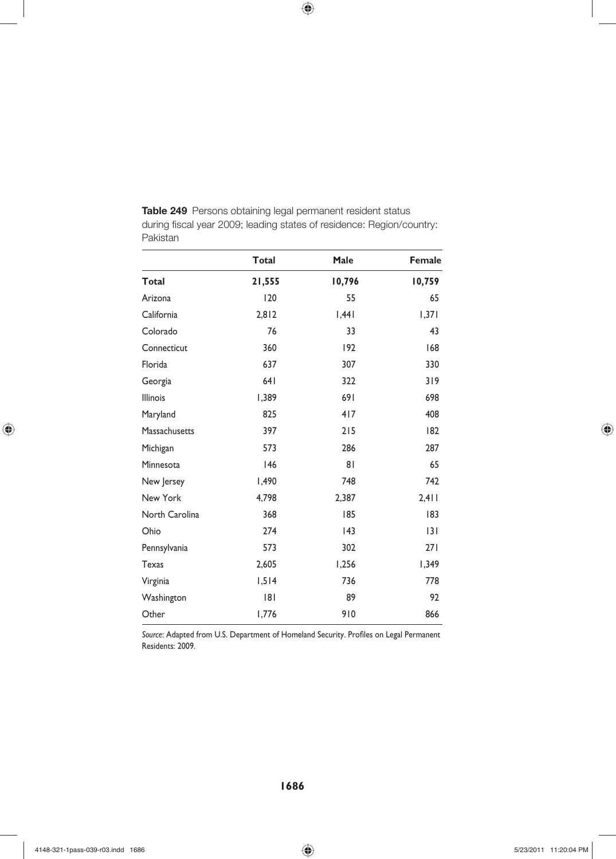|                 | <b>Total</b> | Male   | Female |
|-----------------|--------------|--------|--------|
| Total           | 21,555       | 10,796 | 10,759 |
| Arizona         | 120          | 55     | 65     |
| California      | 2,812        | 1,441  | 1,371  |
| Colorado        | 76           | 33     | 43     |
| Connecticut     | 360          | 192    | 168    |
| Florida         | 637          | 307    | 330    |
| Georgia         | 641          | 322    | 319    |
| <b>Illinois</b> | 1,389        | 691    | 698    |
| Maryland        | 825          | 417    | 408    |
| Massachusetts   | 397          | 215    | 182    |
| Michigan        | 573          | 286    | 287    |
| Minnesota       | 146          | 81     | 65     |
| New Jersey      | 1,490        | 748    | 742    |
| New York        | 4,798        | 2,387  | 2,411  |
| North Carolina  | 368          | 185    | 183    |
| Ohio            | 274          | 43     | 3      |
| Pennsylvania    | 573          | 302    | 271    |
| Texas           | 2,605        | 1,256  | 1,349  |
| Virginia        | 1,514        | 736    | 778    |
| Washington      | 8            | 89     | 92     |
| Other           | 1,776        | 910    | 866    |

**Table 249** Persons obtaining legal permanent resident status during fiscal year 2009; leading states of residence: Region/country: Pakistan

 $\bigoplus$ 

Source: Adapted from U.S. Department of Homeland Security. Profiles on Legal Permanent Residents: 2009.

 $\bigoplus$ 

 $\bigoplus$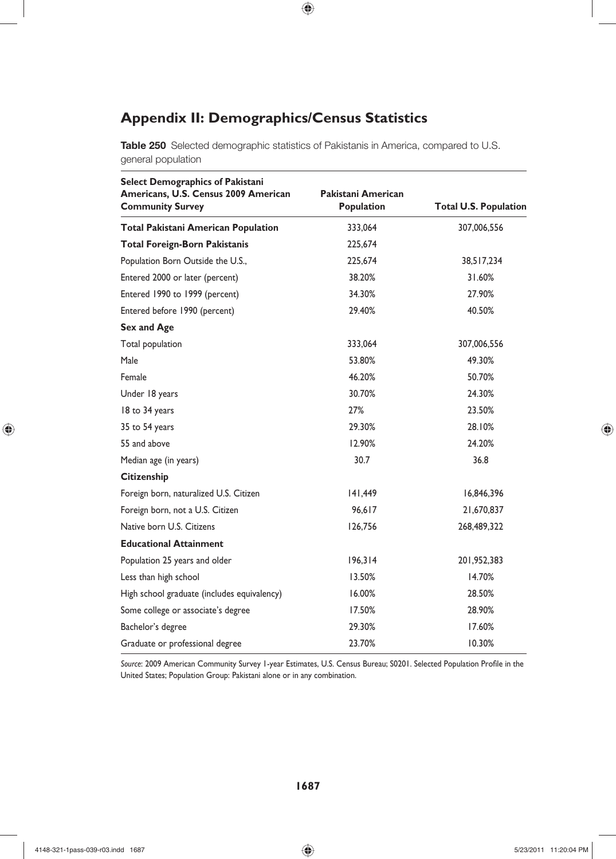$\bigoplus$ 

# **Appendix II: Demographics/Census Statistics**

**Table 250** Selected demographic statistics of Pakistanis in America, compared to U.S. general population

| <b>Select Demographics of Pakistani</b><br>Americans, U.S. Census 2009 American<br><b>Community Survey</b> | Pakistani American<br><b>Population</b> | <b>Total U.S. Population</b> |
|------------------------------------------------------------------------------------------------------------|-----------------------------------------|------------------------------|
| <b>Total Pakistani American Population</b>                                                                 | 333,064                                 | 307,006,556                  |
| <b>Total Foreign-Born Pakistanis</b>                                                                       | 225,674                                 |                              |
| Population Born Outside the U.S.,                                                                          | 225,674                                 | 38,517,234                   |
| Entered 2000 or later (percent)                                                                            | 38.20%                                  | 31.60%                       |
| Entered 1990 to 1999 (percent)                                                                             | 34.30%                                  | 27.90%                       |
| Entered before 1990 (percent)                                                                              | 29.40%                                  | 40.50%                       |
| Sex and Age                                                                                                |                                         |                              |
| Total population                                                                                           | 333,064                                 | 307,006,556                  |
| Male                                                                                                       | 53.80%                                  | 49.30%                       |
| Female                                                                                                     | 46.20%                                  | 50.70%                       |
| Under 18 years                                                                                             | 30.70%                                  | 24.30%                       |
| 18 to 34 years                                                                                             | 27%                                     | 23.50%                       |
| 35 to 54 years                                                                                             | 29.30%                                  | 28.10%                       |
| 55 and above                                                                                               | 12.90%                                  | 24.20%                       |
| Median age (in years)                                                                                      | 30.7                                    | 36.8                         |
| <b>Citizenship</b>                                                                                         |                                         |                              |
| Foreign born, naturalized U.S. Citizen                                                                     | 141.449                                 | 16,846,396                   |
| Foreign born, not a U.S. Citizen                                                                           | 96,617                                  | 21,670,837                   |
| Native born U.S. Citizens                                                                                  | 126,756                                 | 268,489,322                  |
| <b>Educational Attainment</b>                                                                              |                                         |                              |
| Population 25 years and older                                                                              | 196,314                                 | 201,952,383                  |
| Less than high school                                                                                      | 13.50%                                  | 14.70%                       |
| High school graduate (includes equivalency)                                                                | 16.00%                                  | 28.50%                       |
| Some college or associate's degree                                                                         | 17.50%                                  | 28.90%                       |
| Bachelor's degree                                                                                          | 29.30%                                  | 17.60%                       |
| Graduate or professional degree                                                                            | 23.70%                                  | 10.30%                       |

Source: 2009 American Community Survey 1-year Estimates, U.S. Census Bureau; S0201. Selected Population Profile in the United States; Population Group: Pakistani alone or in any combination.

**1687**

 $\bigoplus$ 

 $\bigoplus$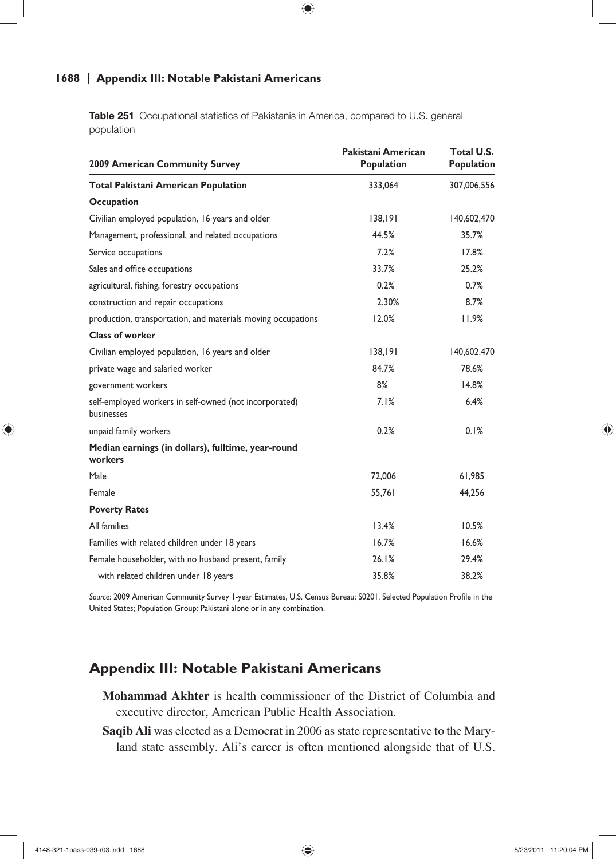### **1688 | Appendix III: Notable Pakistani Americans**

**Table 251** Occupational statistics of Pakistanis in America, compared to U.S. general population

 $\bigcirc \hspace{-1.4mm}$ 

| 2009 American Community Survey                                       | Pakistani American<br>Population | Total U.S.<br>Population |
|----------------------------------------------------------------------|----------------------------------|--------------------------|
| <b>Total Pakistani American Population</b>                           | 333,064                          | 307,006,556              |
| Occupation                                                           |                                  |                          |
| Civilian employed population, 16 years and older                     | 138,191                          | 140,602,470              |
| Management, professional, and related occupations                    | 44.5%                            | 35.7%                    |
| Service occupations                                                  | 7.2%                             | 17.8%                    |
| Sales and office occupations                                         | 33.7%                            | 25.2%                    |
| agricultural, fishing, forestry occupations                          | 0.2%                             | 0.7%                     |
| construction and repair occupations                                  | 2.30%                            | 8.7%                     |
| production, transportation, and materials moving occupations         | 12.0%                            | 11.9%                    |
| <b>Class of worker</b>                                               |                                  |                          |
| Civilian employed population, 16 years and older                     | 138,191                          | 140,602,470              |
| private wage and salaried worker                                     | 84.7%                            | 78.6%                    |
| government workers                                                   | 8%                               | 14.8%                    |
| self-employed workers in self-owned (not incorporated)<br>businesses | 7.1%                             | 6.4%                     |
| unpaid family workers                                                | 0.2%                             | 0.1%                     |
| Median earnings (in dollars), fulltime, year-round<br>workers        |                                  |                          |
| Male                                                                 | 72,006                           | 61,985                   |
| Female                                                               | 55,761                           | 44,256                   |
| <b>Poverty Rates</b>                                                 |                                  |                          |
| All families                                                         | 13.4%                            | 10.5%                    |
| Families with related children under 18 years                        | 16.7%                            | 16.6%                    |
| Female householder, with no husband present, family                  | 26.1%                            | 29.4%                    |
| with related children under 18 years                                 | 35.8%                            | 38.2%                    |

Source: 2009 American Community Survey 1-year Estimates, U.S. Census Bureau; S0201. Selected Population Profile in the United States; Population Group: Pakistani alone or in any combination.

# **Appendix III: Notable Pakistani Americans**

- **Mohammad Akhter** is health commissioner of the District of Columbia and executive director, American Public Health Association.
- **Saqib Ali** was elected as a Democrat in 2006 as state representative to the Maryland state assembly. Ali's career is often mentioned alongside that of U.S.

⊕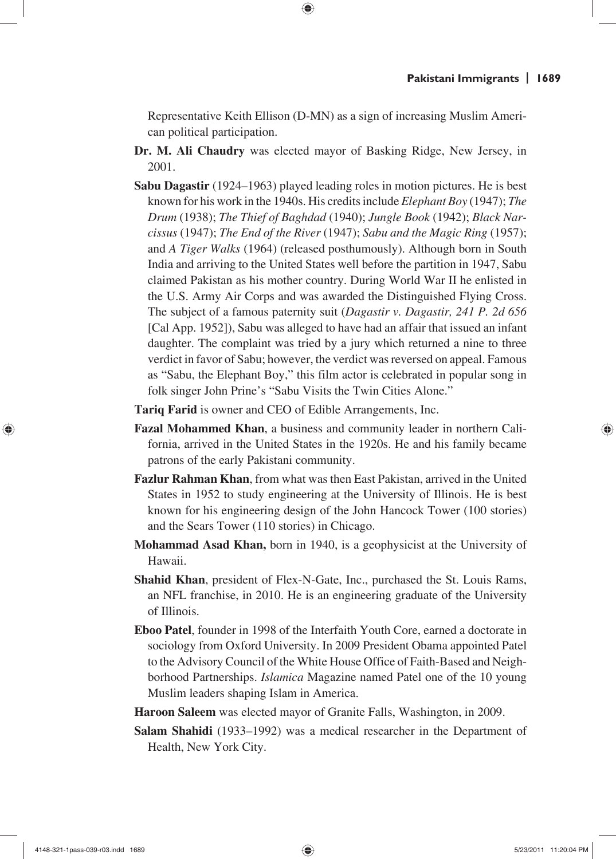Representative Keith Ellison (D-MN) as a sign of increasing Muslim American political participation.

⊕

- **Dr. M. Ali Chaudry** was elected mayor of Basking Ridge, New Jersey, in 2001.
- **Sabu Dagastir** (1924–1963) played leading roles in motion pictures. He is best known for his work in the 1940s. His credits include *Elephant Boy* (1947); *The Drum* (1938); *The Thief of Baghdad* (1940); *Jungle Book* (1942); *Black Narcissus* (1947); *The End of the River* (1947); *Sabu and the Magic Ring* (1957); and *A Tiger Walks* (1964) (released posthumously). Although born in South India and arriving to the United States well before the partition in 1947, Sabu claimed Pakistan as his mother country. During World War II he enlisted in the U.S. Army Air Corps and was awarded the Distinguished Flying Cross. The subject of a famous paternity suit ( *Dagastir v. Dagastir, 241 P. 2d 656* [Cal App. 1952]), Sabu was alleged to have had an affair that issued an infant daughter. The complaint was tried by a jury which returned a nine to three verdict in favor of Sabu; however, the verdict was reversed on appeal. Famous as "Sabu, the Elephant Boy," this film actor is celebrated in popular song in folk singer John Prine's "Sabu Visits the Twin Cities Alone."

**Tariq Farid** is owner and CEO of Edible Arrangements, Inc.

- Fazal Mohammed Khan, a business and community leader in northern California, arrived in the United States in the 1920s. He and his family became patrons of the early Pakistani community.
- **Fazlur Rahman Khan**, from what was then East Pakistan, arrived in the United States in 1952 to study engineering at the University of Illinois. He is best known for his engineering design of the John Hancock Tower (100 stories) and the Sears Tower (110 stories) in Chicago.
- **Mohammad Asad Khan,** born in 1940, is a geophysicist at the University of Hawaii.
- **Shahid Khan**, president of Flex-N-Gate, Inc., purchased the St. Louis Rams, an NFL franchise, in 2010. He is an engineering graduate of the University of Illinois.
- **Eboo Patel** , founder in 1998 of the Interfaith Youth Core, earned a doctorate in sociology from Oxford University. In 2009 President Obama appointed Patel to the Advisory Council of the White House Office of Faith-Based and Neighborhood Partnerships. *Islamica* Magazine named Patel one of the 10 young Muslim leaders shaping Islam in America.
- **Haroon Saleem** was elected mayor of Granite Falls, Washington, in 2009.
- **Salam Shahidi** (1933–1992) was a medical researcher in the Department of Health, New York City.

♠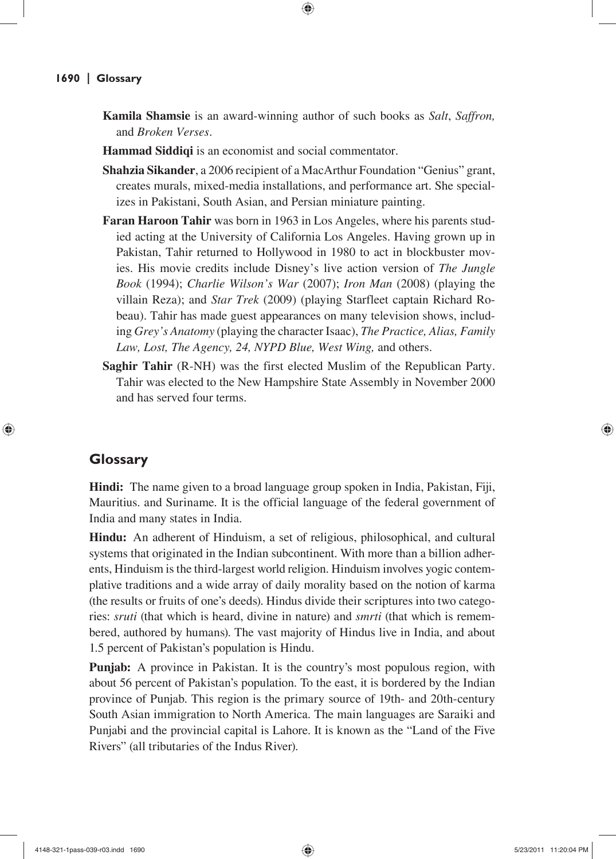# **1690 | Glossary**

**Kamila Shamsie** is an award-winning author of such books as *Salt* , *Saffron,* and *Broken Verses* .

⊕

**Hammad Siddiqi** is an economist and social commentator.

- **Shahzia Sikander**, a 2006 recipient of a MacArthur Foundation "Genius" grant, creates murals, mixed-media installations, and performance art. She specializes in Pakistani, South Asian, and Persian miniature painting.
- **Faran Haroon Tahir** was born in 1963 in Los Angeles, where his parents studied acting at the University of California Los Angeles. Having grown up in Pakistan, Tahir returned to Hollywood in 1980 to act in blockbuster movies. His movie credits include Disney's live action version of *The Jungle Book* (1994); *Charlie Wilson's War* (2007); *Iron Man* (2008) (playing the villain Reza); and *Star Trek* (2009) (playing Starfleet captain Richard Robeau). Tahir has made guest appearances on many television shows, including *Grey's Anatomy* (playing the character Isaac), *The Practice, Alias, Family Law, Lost, The Agency, 24, NYPD Blue, West Wing,* and others.
- **Saghir Tahir** (R-NH) was the first elected Muslim of the Republican Party. Tahir was elected to the New Hampshire State Assembly in November 2000 and has served four terms.

# **Glossary**

♠

**Hindi:** The name given to a broad language group spoken in India, Pakistan, Fiji, Mauritius. and Suriname. It is the official language of the federal government of India and many states in India.

**Hindu:** An adherent of Hinduism, a set of religious, philosophical, and cultural systems that originated in the Indian subcontinent. With more than a billion adherents, Hinduism is the third-largest world religion. Hinduism involves yogic contemplative traditions and a wide array of daily morality based on the notion of karma (the results or fruits of one's deeds). Hindus divide their scriptures into two categories: *sruti* (that which is heard, divine in nature) and *smrti* (that which is remembered, authored by humans). The vast majority of Hindus live in India, and about 1.5 percent of Pakistan's population is Hindu.

**Punjab:** A province in Pakistan. It is the country's most populous region, with about 56 percent of Pakistan's population. To the east, it is bordered by the Indian province of Punjab. This region is the primary source of 19th- and 20th-century South Asian immigration to North America. The main languages are Saraiki and Punjabi and the provincial capital is Lahore. It is known as the "Land of the Five Rivers" (all tributaries of the Indus River).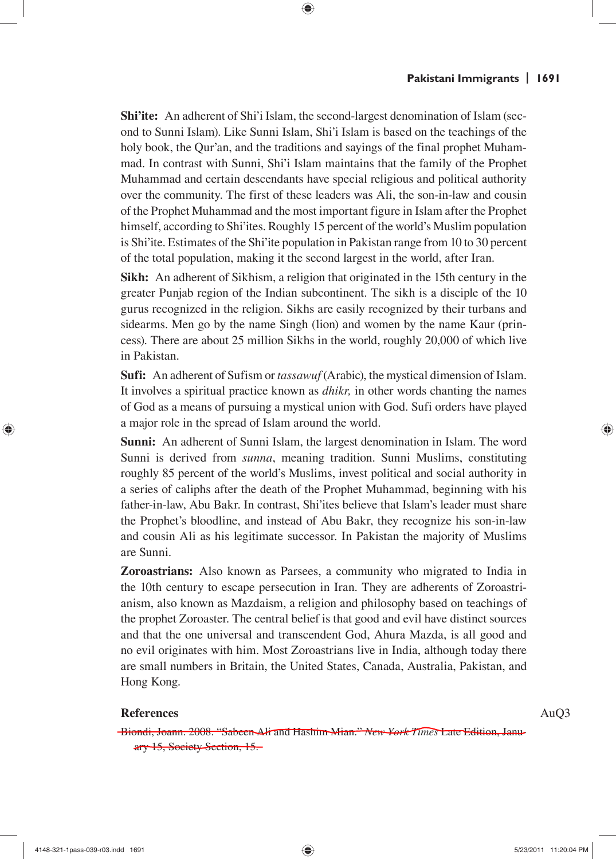**Shi'ite:** An adherent of Shi'i Islam, the second-largest denomination of Islam (second to Sunni Islam). Like Sunni Islam, Shi'i Islam is based on the teachings of the holy book, the Qur'an, and the traditions and sayings of the final prophet Muhammad. In contrast with Sunni, Shi'i Islam maintains that the family of the Prophet Muhammad and certain descendants have special religious and political authority over the community. The first of these leaders was Ali, the son-in-law and cousin of the Prophet Muhammad and the most important figure in Islam after the Prophet himself, according to Shi'ites. Roughly 15 percent of the world's Muslim population is Shi'ite. Estimates of the Shi'ite population in Pakistan range from 10 to 30 percent of the total population, making it the second largest in the world, after Iran.

⊕

**Sikh:** An adherent of Sikhism, a religion that originated in the 15th century in the greater Punjab region of the Indian subcontinent. The sikh is a disciple of the 10 gurus recognized in the religion. Sikhs are easily recognized by their turbans and sidearms. Men go by the name Singh (lion) and women by the name Kaur (princess). There are about 25 million Sikhs in the world, roughly 20,000 of which live in Pakistan.

**Sufi:** An adherent of Sufism or *tassawuf* (Arabic), the mystical dimension of Islam. It involves a spiritual practice known as *dhikr,* in other words chanting the names of God as a means of pursuing a mystical union with God. Sufi orders have played a major role in the spread of Islam around the world.

**Sunni:** An adherent of Sunni Islam, the largest denomination in Islam. The word Sunni is derived from *sunna* , meaning tradition. Sunni Muslims, constituting roughly 85 percent of the world's Muslims, invest political and social authority in a series of caliphs after the death of the Prophet Muhammad, beginning with his father-in-law, Abu Bakr. In contrast, Shi'ites believe that Islam's leader must share the Prophet's bloodline, and instead of Abu Bakr, they recognize his son-in-law and cousin Ali as his legitimate successor. In Pakistan the majority of Muslims are Sunni.

**Zoroastrians:** Also known as Parsees, a community who migrated to India in the 10th century to escape persecution in Iran. They are adherents of Zoroastrianism, also known as Mazdaism, a religion and philosophy based on teachings of the prophet Zoroaster. The central belief is that good and evil have distinct sources and that the one universal and transcendent God, Ahura Mazda, is all good and no evil originates with him. Most Zoroastrians live in India, although today there are small numbers in Britain, the United States, Canada, Australia, Pakistan, and Hong Kong.

#### **References**

 Biondi, Joann. 2008. "Sabeen Ali and Hashim Mian.‰ *New York Times* Late Edition, January 15, Society Section, 15.

AuQ3

♠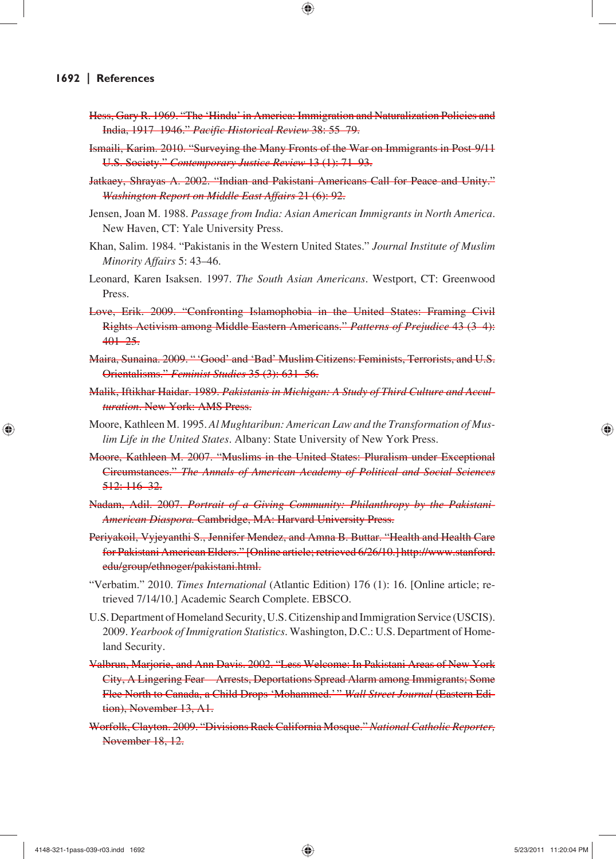#### **1692 | References**

♠

Hess, Gary R. 1969. "The 'Hindu' in America: Immigration and Naturalization Policies and India, 1917–1946.‰ *Pacific Historical Review* 38: 55–79.

⊕

- Ismaili, Karim. 2010. "Surveying the Many Fronts of the War on Immigrants in Post-9/11 U.S. Society.‰ *Contemporary Justice Review* 13 (1): 71–93.
- Jatkaey, Shrayas A. 2002. "Indian and Pakistani Americans Call for Peace and Unity." *Washington Report on Middle East Affairs* 21 (6): 92.
- Jensen, Joan M. 1988. *Passage from India: Asian American Immigrants in North America* . New Haven, CT: Yale University Press.
- Khan, Salim. 1984. "Pakistanis in the Western United States.‰ *Journal Institute of Muslim Minority Affairs* 5: 43–46.
- Leonard, Karen Isaksen. 1997. *The South Asian Americans* . Westport, CT: Greenwood Press.
- Love, Erik. 2009. "Confronting Islamophobia in the United States: Framing Civil Rights Activism among Middle Eastern Americans.‰ *Patterns of Prejudice* 43 (3–4): 401–25.
- Maira, Sunaina. 2009. " 'Good' and 'Bad' Muslim Citizens: Feminists, Terrorists, and U.S. Orientalisms.‰ *Feminist Studies* 35 (3): 631–56.
- Malik, Iftikhar Haidar. 1989. *Pakistanis in Michigan: A Study of Third Culture and Acculturation* . New York: AMS Press.
- Moore, Kathleen M. 1995. *Al Mughtaribun: American Law and the Transformation of Muslim Life in the United States* . Albany: State University of New York Press.
- Moore, Kathleen M. 2007. "Muslims in the United States: Pluralism under Exceptional Circumstances.‰ *The Annals of American Academy of Political and Social Sciences* 512: 116–32.
- Nadam, Adil. 2007. *Portrait of a Giving Community: Philanthropy by the Pakistani- American Diaspora.* Cambridge, MA: Harvard University Press.
- Periyakoil, Vyjeyanthi S., Jennifer Mendez, and Amna B. Buttar. "Health and Health Care for Pakistani American Elders." [Online article; retrieved 6/26/10.] http://www.stanford. edu/group/ethnoger/pakistani.html.
- "Verbatim.‰ 2010. *Times International* (Atlantic Edition) 176 (1): 16. [Online article; retrieved 7/14/10.] Academic Search Complete. EBSCO.
- U.S. Department of Homeland Security, U.S. Citizenship and Immigration Service (USCIS). 2009. *Yearbook of Immigration Statistics* . Washington, D.C.: U.S. Department of Homeland Security.
- Valbrun, Marjorie, and Ann Davis. 2002. "Less Welcome: In Pakistani Areas of New York City, A Lingering Fear-Arrests, Deportations Spread Alarm among Immigrants; Some Flee North to Canada, a Child Drops 'Mohammed.'" Wall Street Journal (Eastern Edition), November 13, A1.
- Worfolk, Clayton. 2009. "Divisions Rack California Mosque.‰ *National Catholic Reporter,* November 18, 12.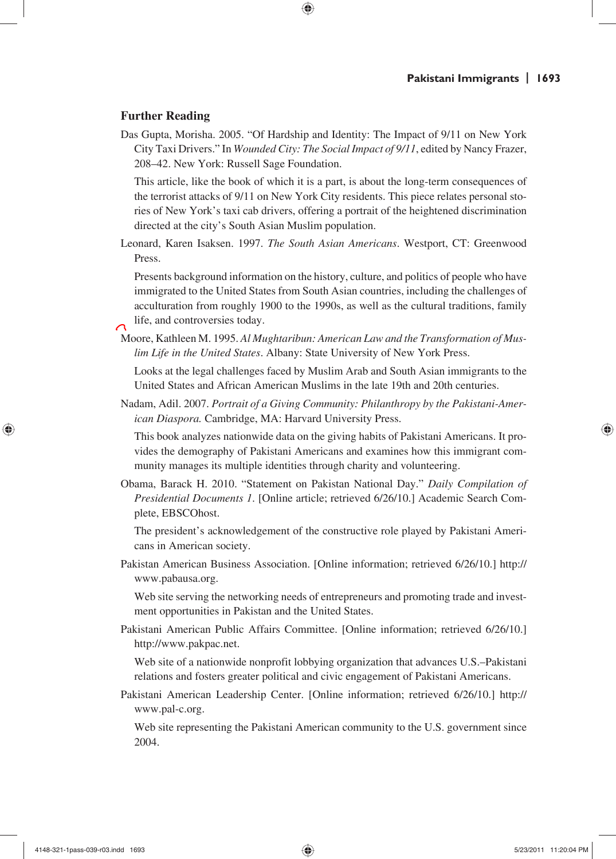#### **Further Reading**

 Das Gupta, Morisha. 2005. "Of Hardship and Identity: The Impact of 9/11 on New York City Taxi Drivers.‰ In *Wounded City: The Social Impact of 9/11* , edited by Nancy Frazer, 208–42. New York: Russell Sage Foundation.

⊕

 This article, like the book of which it is a part, is about the long-term consequences of the terrorist attacks of 9/11 on New York City residents. This piece relates personal stories of New York's taxi cab drivers, offering a portrait of the heightened discrimination directed at the city's South Asian Muslim population.

 Leonard, Karen Isaksen. 1997. *The South Asian Americans* . Westport, CT: Greenwood Press.

 Presents background information on the history, culture, and politics of people who have immigrated to the United States from South Asian countries, including the challenges of acculturation from roughly 1900 to the 1990s, as well as the cultural traditions, family life, and controversies today.

 Moore, Kathleen M. 1995. *Al Mughtaribun: American Law and the Transformation of Muslim Life in the United States* . Albany: State University of New York Press.

 Looks at the legal challenges faced by Muslim Arab and South Asian immigrants to the United States and African American Muslims in the late 19th and 20th centuries.

 Nadam, Adil. 2007. *Portrait of a Giving Community: Philanthropy by the Pakistani-American Diaspora.* Cambridge, MA: Harvard University Press.

 This book analyzes nationwide data on the giving habits of Pakistani Americans. It provides the demography of Pakistani Americans and examines how this immigrant community manages its multiple identities through charity and volunteering.

 Obama, Barack H. 2010. "Statement on Pakistan National Day.‰ *Daily Compilation of Presidential Documents 1* . [Online article; retrieved 6/26/10.] Academic Search Complete, EBSCOhost.

The president's acknowledgement of the constructive role played by Pakistani Americans in American society.

 Pakistan American Business Association. [Online information; retrieved 6/26/10.] http:// www.pabausa.org.

 Web site serving the networking needs of entrepreneurs and promoting trade and investment opportunities in Pakistan and the United States.

 Pakistani American Public Affairs Committee. [Online information; retrieved 6/26/10.] http://www.pakpac.net.

 Web site of a nationwide nonprofit lobbying organization that advances U.S.–Pakistani relations and fosters greater political and civic engagement of Pakistani Americans.

 Pakistani American Leadership Center. [Online information; retrieved 6/26/10.] http:// www.pal-c.org.

 Web site representing the Pakistani American community to the U.S. government since 2004.

♠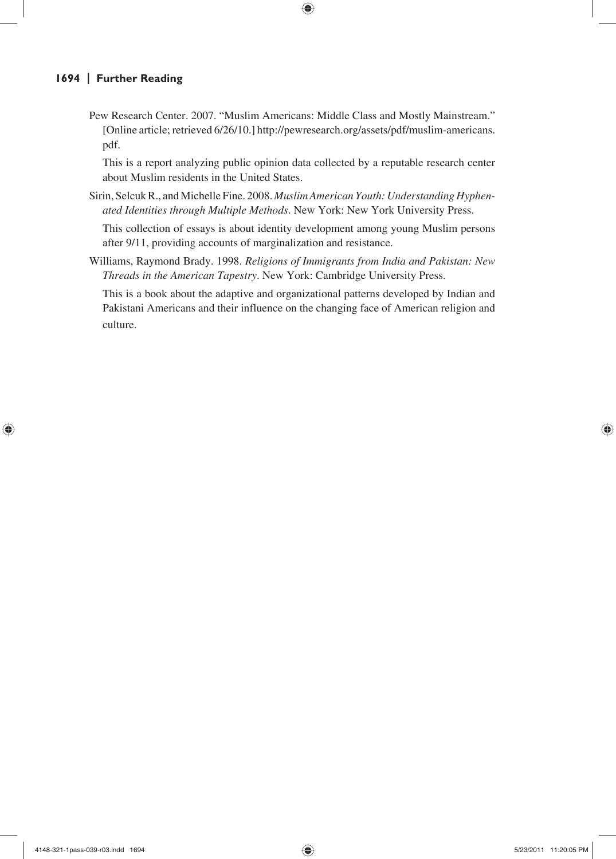### **1694 | Further Reading**

 Pew Research Center. 2007. "Muslim Americans: Middle Class and Mostly Mainstream.‰ [Online article; retrieved 6/26/10.] http://pewresearch.org/assets/pdf/muslim-americans. pdf.

 $\bigcirc \hspace{-1.4mm}$ 

 This is a report analyzing public opinion data collected by a reputable research center about Muslim residents in the United States.

 Sirin, Selcuk R., and Michelle Fine. 2008. *Muslim American Youth: Understanding Hyphenated Identities through Multiple Methods* . New York: New York University Press.

 This collection of essays is about identity development among young Muslim persons after 9/11, providing accounts of marginalization and resistance.

 Williams, Raymond Brady. 1998. *Religions of Immigrants from India and Pakistan: New Threads in the American Tapestry* . New York: Cambridge University Press.

 This is a book about the adaptive and organizational patterns developed by Indian and Pakistani Americans and their influence on the changing face of American religion and culture.

⊕